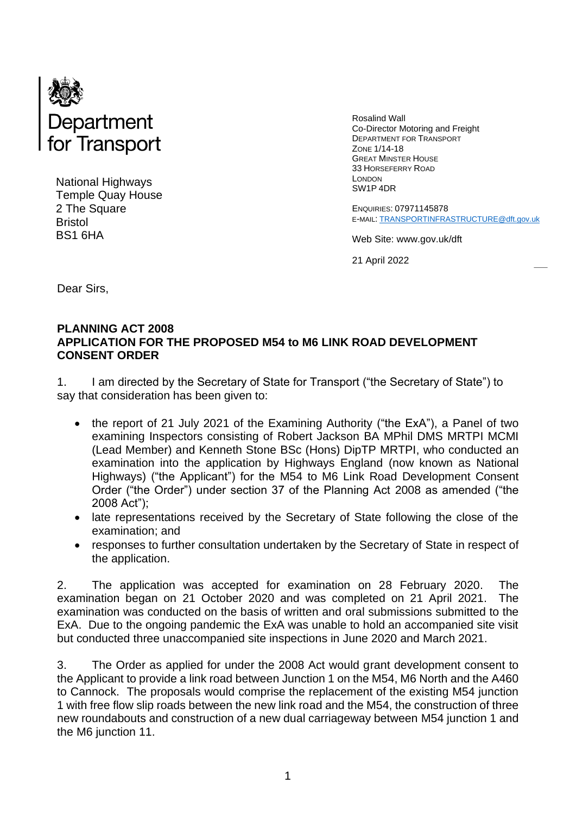

National Highways Temple Quay House 2 The Square Bristol BS1 6HA

Rosalind Wall Co-Director Motoring and Freight DEPARTMENT FOR TRANSPORT ZONE 1/14-18 GREAT MINSTER HOUSE 33 HORSEFERRY ROAD LONDON SW1P 4DR

ENQUIRIES: 07971145878 E-MAIL: [TRANSPORTINFRASTRUCTURE@dft.gov.uk](mailto:TRANSPORTINFRASTRUCTURE@dft.gov.uk)

Web Site: www.gov.uk/dft

21 April 2022

Dear Sirs,

#### **PLANNING ACT 2008 APPLICATION FOR THE PROPOSED M54 to M6 LINK ROAD DEVELOPMENT CONSENT ORDER**

1. I am directed by the Secretary of State for Transport ("the Secretary of State") to say that consideration has been given to:

- the report of 21 July 2021 of the Examining Authority ("the ExA"), a Panel of two examining Inspectors consisting of Robert Jackson BA MPhil DMS MRTPI MCMI (Lead Member) and Kenneth Stone BSc (Hons) DipTP MRTPI, who conducted an examination into the application by Highways England (now known as National Highways) ("the Applicant") for the M54 to M6 Link Road Development Consent Order ("the Order") under section 37 of the Planning Act 2008 as amended ("the 2008 Act");
- late representations received by the Secretary of State following the close of the examination; and
- responses to further consultation undertaken by the Secretary of State in respect of the application.

2. The application was accepted for examination on 28 February 2020. The examination began on 21 October 2020 and was completed on 21 April 2021. The examination was conducted on the basis of written and oral submissions submitted to the ExA. Due to the ongoing pandemic the ExA was unable to hold an accompanied site visit but conducted three unaccompanied site inspections in June 2020 and March 2021.

3. The Order as applied for under the 2008 Act would grant development consent to the Applicant to provide a link road between Junction 1 on the M54, M6 North and the A460 to Cannock. The proposals would comprise the replacement of the existing M54 junction 1 with free flow slip roads between the new link road and the M54, the construction of three new roundabouts and construction of a new dual carriageway between M54 junction 1 and the M6 junction 11.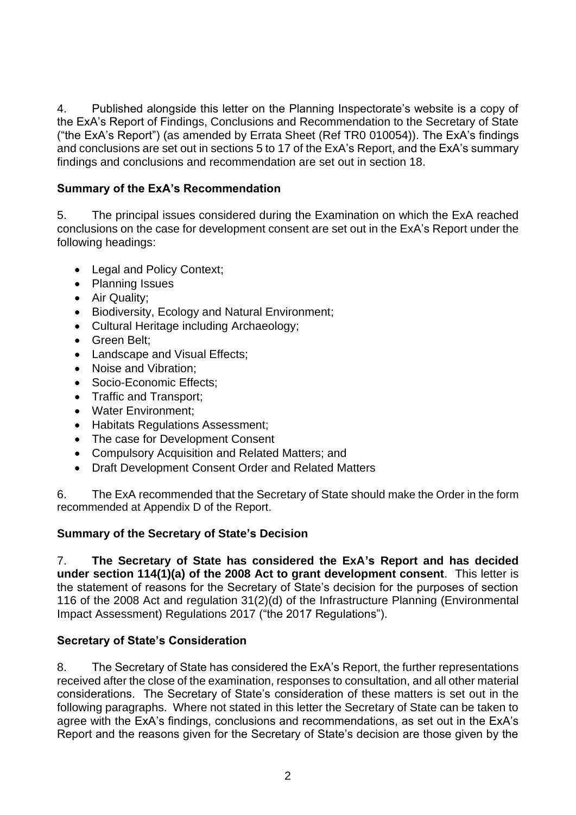4. Published alongside this letter on the Planning Inspectorate's website is a copy of the ExA's Report of Findings, Conclusions and Recommendation to the Secretary of State ("the ExA's Report") (as amended by Errata Sheet (Ref TR0 010054)). The ExA's findings and conclusions are set out in sections 5 to 17 of the ExA's Report, and the ExA's summary findings and conclusions and recommendation are set out in section 18.

## **Summary of the ExA's Recommendation**

5. The principal issues considered during the Examination on which the ExA reached conclusions on the case for development consent are set out in the ExA's Report under the following headings:

- Legal and Policy Context;
- Planning Issues
- Air Quality;
- Biodiversity, Ecology and Natural Environment;
- Cultural Heritage including Archaeology;
- Green Belt;
- Landscape and Visual Effects;
- Noise and Vibration;
- Socio-Economic Effects:
- Traffic and Transport;
- Water Environment;
- Habitats Regulations Assessment;
- The case for Development Consent
- Compulsory Acquisition and Related Matters; and
- Draft Development Consent Order and Related Matters

6. The ExA recommended that the Secretary of State should make the Order in the form recommended at Appendix D of the Report.

## **Summary of the Secretary of State's Decision**

7. **The Secretary of State has considered the ExA's Report and has decided under section 114(1)(a) of the 2008 Act to grant development consent**. This letter is the statement of reasons for the Secretary of State's decision for the purposes of section 116 of the 2008 Act and regulation 31(2)(d) of the Infrastructure Planning (Environmental Impact Assessment) Regulations 2017 ("the 2017 Regulations").

## **Secretary of State's Consideration**

8. The Secretary of State has considered the ExA's Report, the further representations received after the close of the examination, responses to consultation, and all other material considerations. The Secretary of State's consideration of these matters is set out in the following paragraphs. Where not stated in this letter the Secretary of State can be taken to agree with the ExA's findings, conclusions and recommendations, as set out in the ExA's Report and the reasons given for the Secretary of State's decision are those given by the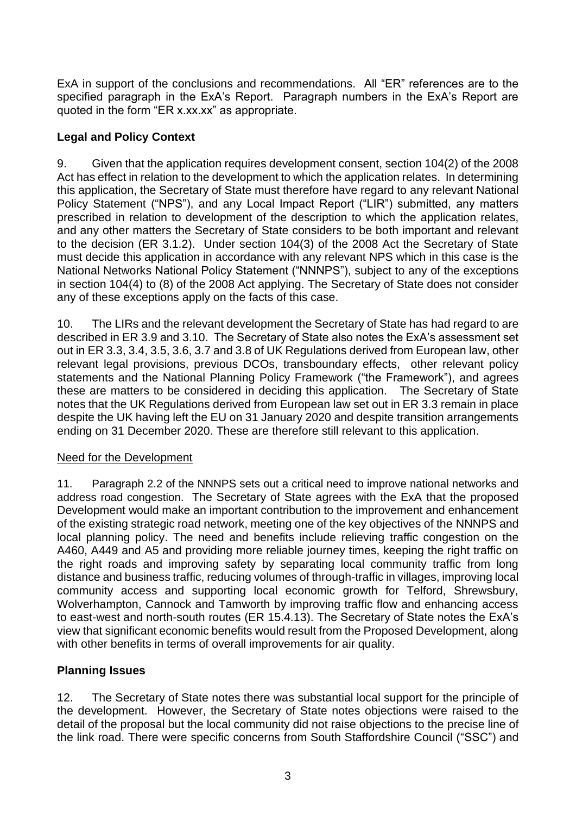ExA in support of the conclusions and recommendations. All "ER" references are to the specified paragraph in the ExA's Report. Paragraph numbers in the ExA's Report are quoted in the form "ER x.xx.xx" as appropriate.

## **Legal and Policy Context**

9. Given that the application requires development consent, section 104(2) of the 2008 Act has effect in relation to the development to which the application relates. In determining this application, the Secretary of State must therefore have regard to any relevant National Policy Statement ("NPS"), and any Local Impact Report ("LIR") submitted, any matters prescribed in relation to development of the description to which the application relates, and any other matters the Secretary of State considers to be both important and relevant to the decision (ER 3.1.2). Under section 104(3) of the 2008 Act the Secretary of State must decide this application in accordance with any relevant NPS which in this case is the National Networks National Policy Statement ("NNNPS"), subject to any of the exceptions in section 104(4) to (8) of the 2008 Act applying. The Secretary of State does not consider any of these exceptions apply on the facts of this case.

10. The LIRs and the relevant development the Secretary of State has had regard to are described in ER 3.9 and 3.10. The Secretary of State also notes the ExA's assessment set out in ER 3.3, 3.4, 3.5, 3.6, 3.7 and 3.8 of UK Regulations derived from European law, other relevant legal provisions, previous DCOs, transboundary effects, other relevant policy statements and the National Planning Policy Framework ("the Framework"), and agrees these are matters to be considered in deciding this application. The Secretary of State notes that the UK Regulations derived from European law set out in ER 3.3 remain in place despite the UK having left the EU on 31 January 2020 and despite transition arrangements ending on 31 December 2020. These are therefore still relevant to this application.

# Need for the Development

11. Paragraph 2.2 of the NNNPS sets out a critical need to improve national networks and address road congestion. The Secretary of State agrees with the ExA that the proposed Development would make an important contribution to the improvement and enhancement of the existing strategic road network, meeting one of the key objectives of the NNNPS and local planning policy. The need and benefits include relieving traffic congestion on the A460, A449 and A5 and providing more reliable journey times, keeping the right traffic on the right roads and improving safety by separating local community traffic from long distance and business traffic, reducing volumes of through-traffic in villages, improving local community access and supporting local economic growth for Telford, Shrewsbury, Wolverhampton, Cannock and Tamworth by improving traffic flow and enhancing access to east-west and north-south routes (ER 15.4.13). The Secretary of State notes the ExA's view that significant economic benefits would result from the Proposed Development, along with other benefits in terms of overall improvements for air quality.

# **Planning Issues**

12. The Secretary of State notes there was substantial local support for the principle of the development. However, the Secretary of State notes objections were raised to the detail of the proposal but the local community did not raise objections to the precise line of the link road. There were specific concerns from South Staffordshire Council ("SSC") and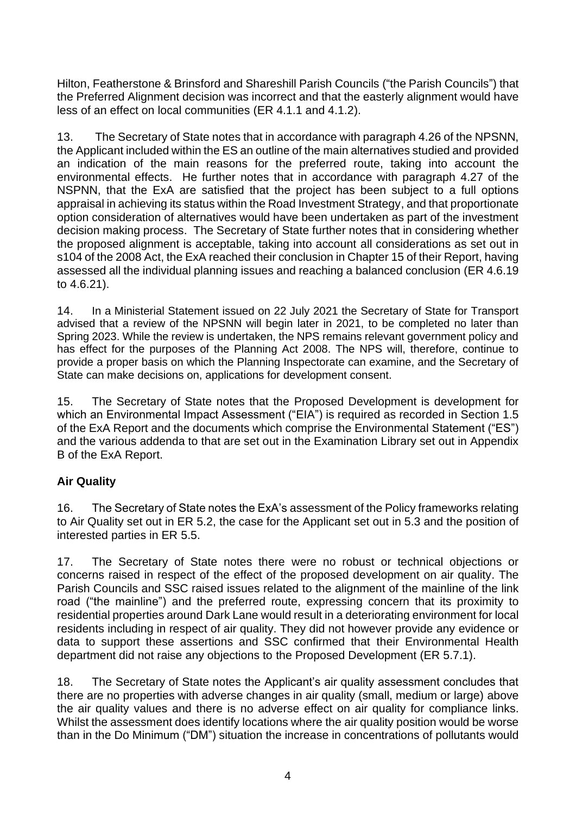Hilton, Featherstone & Brinsford and Shareshill Parish Councils ("the Parish Councils") that the Preferred Alignment decision was incorrect and that the easterly alignment would have less of an effect on local communities (ER 4.1.1 and 4.1.2).

13. The Secretary of State notes that in accordance with paragraph 4.26 of the NPSNN, the Applicant included within the ES an outline of the main alternatives studied and provided an indication of the main reasons for the preferred route, taking into account the environmental effects. He further notes that in accordance with paragraph 4.27 of the NSPNN, that the ExA are satisfied that the project has been subject to a full options appraisal in achieving its status within the Road Investment Strategy, and that proportionate option consideration of alternatives would have been undertaken as part of the investment decision making process. The Secretary of State further notes that in considering whether the proposed alignment is acceptable, taking into account all considerations as set out in s104 of the 2008 Act, the ExA reached their conclusion in Chapter 15 of their Report, having assessed all the individual planning issues and reaching a balanced conclusion (ER 4.6.19 to 4.6.21).

14. In a Ministerial Statement issued on 22 July 2021 the Secretary of State for Transport advised that a review of the NPSNN will begin later in 2021, to be completed no later than Spring 2023. While the review is undertaken, the NPS remains relevant government policy and has effect for the purposes of the Planning Act 2008. The NPS will, therefore, continue to provide a proper basis on which the Planning Inspectorate can examine, and the Secretary of State can make decisions on, applications for development consent.

15. The Secretary of State notes that the Proposed Development is development for which an Environmental Impact Assessment ("EIA") is required as recorded in Section 1.5 of the ExA Report and the documents which comprise the Environmental Statement ("ES") and the various addenda to that are set out in the Examination Library set out in Appendix B of the ExA Report.

## **Air Quality**

16. The Secretary of State notes the ExA's assessment of the Policy frameworks relating to Air Quality set out in ER 5.2, the case for the Applicant set out in 5.3 and the position of interested parties in ER 5.5.

17. The Secretary of State notes there were no robust or technical objections or concerns raised in respect of the effect of the proposed development on air quality. The Parish Councils and SSC raised issues related to the alignment of the mainline of the link road ("the mainline") and the preferred route, expressing concern that its proximity to residential properties around Dark Lane would result in a deteriorating environment for local residents including in respect of air quality. They did not however provide any evidence or data to support these assertions and SSC confirmed that their Environmental Health department did not raise any objections to the Proposed Development (ER 5.7.1).

18. The Secretary of State notes the Applicant's air quality assessment concludes that there are no properties with adverse changes in air quality (small, medium or large) above the air quality values and there is no adverse effect on air quality for compliance links. Whilst the assessment does identify locations where the air quality position would be worse than in the Do Minimum ("DM") situation the increase in concentrations of pollutants would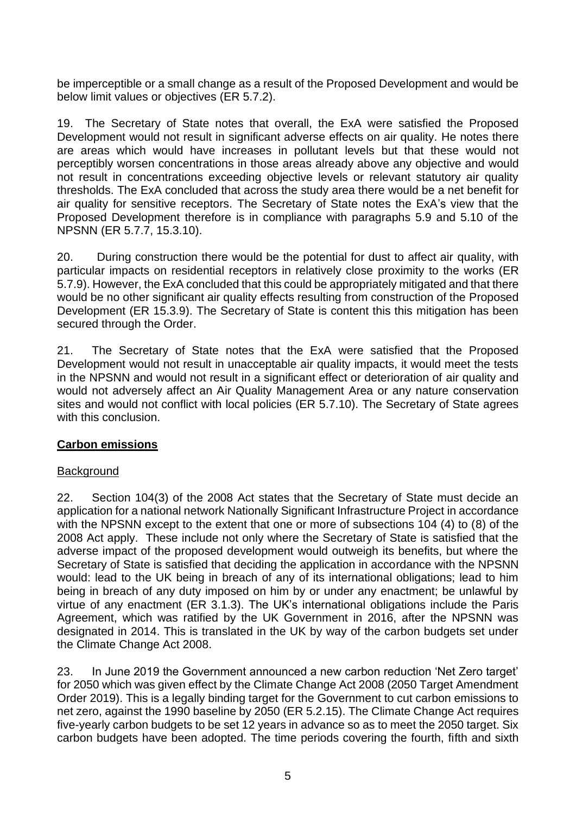be imperceptible or a small change as a result of the Proposed Development and would be below limit values or objectives (ER 5.7.2).

19. The Secretary of State notes that overall, the ExA were satisfied the Proposed Development would not result in significant adverse effects on air quality. He notes there are areas which would have increases in pollutant levels but that these would not perceptibly worsen concentrations in those areas already above any objective and would not result in concentrations exceeding objective levels or relevant statutory air quality thresholds. The ExA concluded that across the study area there would be a net benefit for air quality for sensitive receptors. The Secretary of State notes the ExA's view that the Proposed Development therefore is in compliance with paragraphs 5.9 and 5.10 of the NPSNN (ER 5.7.7, 15.3.10).

20. During construction there would be the potential for dust to affect air quality, with particular impacts on residential receptors in relatively close proximity to the works (ER 5.7.9). However, the ExA concluded that this could be appropriately mitigated and that there would be no other significant air quality effects resulting from construction of the Proposed Development (ER 15.3.9). The Secretary of State is content this this mitigation has been secured through the Order.

21. The Secretary of State notes that the ExA were satisfied that the Proposed Development would not result in unacceptable air quality impacts, it would meet the tests in the NPSNN and would not result in a significant effect or deterioration of air quality and would not adversely affect an Air Quality Management Area or any nature conservation sites and would not conflict with local policies (ER 5.7.10). The Secretary of State agrees with this conclusion.

## **Carbon emissions**

## **Background**

22. Section 104(3) of the 2008 Act states that the Secretary of State must decide an application for a national network Nationally Significant Infrastructure Project in accordance with the NPSNN except to the extent that one or more of subsections 104 (4) to (8) of the 2008 Act apply. These include not only where the Secretary of State is satisfied that the adverse impact of the proposed development would outweigh its benefits, but where the Secretary of State is satisfied that deciding the application in accordance with the NPSNN would: lead to the UK being in breach of any of its international obligations; lead to him being in breach of any duty imposed on him by or under any enactment; be unlawful by virtue of any enactment (ER 3.1.3). The UK's international obligations include the Paris Agreement, which was ratified by the UK Government in 2016, after the NPSNN was designated in 2014. This is translated in the UK by way of the carbon budgets set under the Climate Change Act 2008.

23. In June 2019 the Government announced a new carbon reduction 'Net Zero target' for 2050 which was given effect by the Climate Change Act 2008 (2050 Target Amendment Order 2019). This is a legally binding target for the Government to cut carbon emissions to net zero, against the 1990 baseline by 2050 (ER 5.2.15). The Climate Change Act requires five-yearly carbon budgets to be set 12 years in advance so as to meet the 2050 target. Six carbon budgets have been adopted. The time periods covering the fourth, fifth and sixth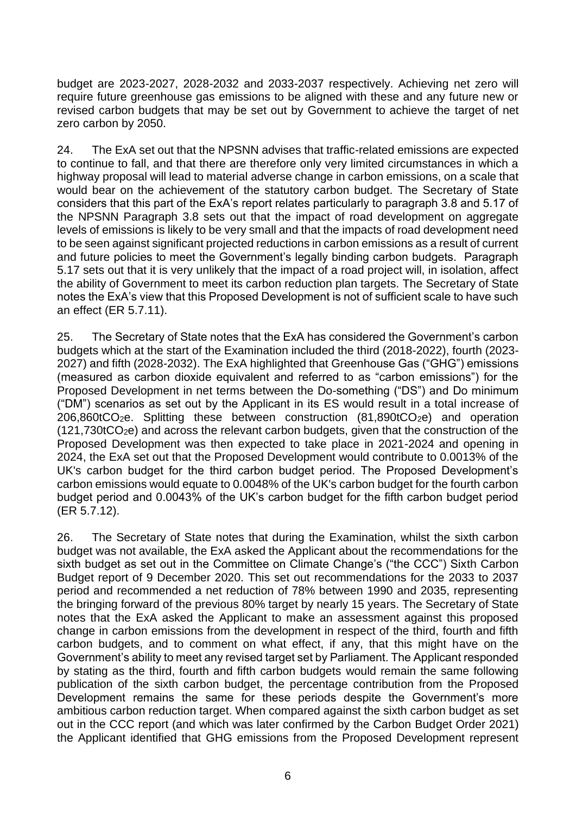budget are 2023-2027, 2028-2032 and 2033-2037 respectively. Achieving net zero will require future greenhouse gas emissions to be aligned with these and any future new or revised carbon budgets that may be set out by Government to achieve the target of net zero carbon by 2050.

24. The ExA set out that the NPSNN advises that traffic-related emissions are expected to continue to fall, and that there are therefore only very limited circumstances in which a highway proposal will lead to material adverse change in carbon emissions, on a scale that would bear on the achievement of the statutory carbon budget. The Secretary of State considers that this part of the ExA's report relates particularly to paragraph 3.8 and 5.17 of the NPSNN Paragraph 3.8 sets out that the impact of road development on aggregate levels of emissions is likely to be very small and that the impacts of road development need to be seen against significant projected reductions in carbon emissions as a result of current and future policies to meet the Government's legally binding carbon budgets. Paragraph 5.17 sets out that it is very unlikely that the impact of a road project will, in isolation, affect the ability of Government to meet its carbon reduction plan targets. The Secretary of State notes the ExA's view that this Proposed Development is not of sufficient scale to have such an effect (ER 5.7.11).

25. The Secretary of State notes that the ExA has considered the Government's carbon budgets which at the start of the Examination included the third (2018-2022), fourth (2023- 2027) and fifth (2028-2032). The ExA highlighted that Greenhouse Gas ("GHG") emissions (measured as carbon dioxide equivalent and referred to as "carbon emissions") for the Proposed Development in net terms between the Do-something ("DS") and Do minimum ("DM") scenarios as set out by the Applicant in its ES would result in a total increase of  $206,860$ tCO<sub>2</sub>e. Splitting these between construction  $(81,890$ tCO<sub>2</sub>e) and operation (121,730tCO2e) and across the relevant carbon budgets, given that the construction of the Proposed Development was then expected to take place in 2021-2024 and opening in 2024, the ExA set out that the Proposed Development would contribute to 0.0013% of the UK's carbon budget for the third carbon budget period. The Proposed Development's carbon emissions would equate to 0.0048% of the UK's carbon budget for the fourth carbon budget period and 0.0043% of the UK's carbon budget for the fifth carbon budget period (ER 5.7.12).

26. The Secretary of State notes that during the Examination, whilst the sixth carbon budget was not available, the ExA asked the Applicant about the recommendations for the sixth budget as set out in the Committee on Climate Change's ("the CCC") Sixth Carbon Budget report of 9 December 2020. This set out recommendations for the 2033 to 2037 period and recommended a net reduction of 78% between 1990 and 2035, representing the bringing forward of the previous 80% target by nearly 15 years. The Secretary of State notes that the ExA asked the Applicant to make an assessment against this proposed change in carbon emissions from the development in respect of the third, fourth and fifth carbon budgets, and to comment on what effect, if any, that this might have on the Government's ability to meet any revised target set by Parliament. The Applicant responded by stating as the third, fourth and fifth carbon budgets would remain the same following publication of the sixth carbon budget, the percentage contribution from the Proposed Development remains the same for these periods despite the Government's more ambitious carbon reduction target. When compared against the sixth carbon budget as set out in the CCC report (and which was later confirmed by the Carbon Budget Order 2021) the Applicant identified that GHG emissions from the Proposed Development represent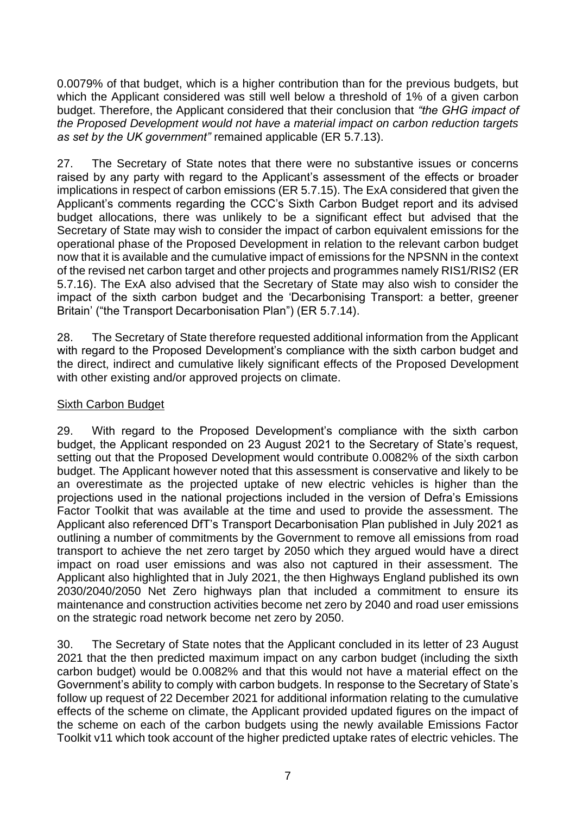0.0079% of that budget, which is a higher contribution than for the previous budgets, but which the Applicant considered was still well below a threshold of 1% of a given carbon budget. Therefore, the Applicant considered that their conclusion that *"the GHG impact of the Proposed Development would not have a material impact on carbon reduction targets as set by the UK government"* remained applicable (ER 5.7.13).

27. The Secretary of State notes that there were no substantive issues or concerns raised by any party with regard to the Applicant's assessment of the effects or broader implications in respect of carbon emissions (ER 5.7.15). The ExA considered that given the Applicant's comments regarding the CCC's Sixth Carbon Budget report and its advised budget allocations, there was unlikely to be a significant effect but advised that the Secretary of State may wish to consider the impact of carbon equivalent emissions for the operational phase of the Proposed Development in relation to the relevant carbon budget now that it is available and the cumulative impact of emissions for the NPSNN in the context of the revised net carbon target and other projects and programmes namely RIS1/RIS2 (ER 5.7.16). The ExA also advised that the Secretary of State may also wish to consider the impact of the sixth carbon budget and the 'Decarbonising Transport: a better, greener Britain' ("the Transport Decarbonisation Plan") (ER 5.7.14).

28. The Secretary of State therefore requested additional information from the Applicant with regard to the Proposed Development's compliance with the sixth carbon budget and the direct, indirect and cumulative likely significant effects of the Proposed Development with other existing and/or approved projects on climate.

### Sixth Carbon Budget

29. With regard to the Proposed Development's compliance with the sixth carbon budget, the Applicant responded on 23 August 2021 to the Secretary of State's request, setting out that the Proposed Development would contribute 0.0082% of the sixth carbon budget. The Applicant however noted that this assessment is conservative and likely to be an overestimate as the projected uptake of new electric vehicles is higher than the projections used in the national projections included in the version of Defra's Emissions Factor Toolkit that was available at the time and used to provide the assessment. The Applicant also referenced DfT's Transport Decarbonisation Plan published in July 2021 as outlining a number of commitments by the Government to remove all emissions from road transport to achieve the net zero target by 2050 which they argued would have a direct impact on road user emissions and was also not captured in their assessment. The Applicant also highlighted that in July 2021, the then Highways England published its own 2030/2040/2050 Net Zero highways plan that included a commitment to ensure its maintenance and construction activities become net zero by 2040 and road user emissions on the strategic road network become net zero by 2050.

30. The Secretary of State notes that the Applicant concluded in its letter of 23 August 2021 that the then predicted maximum impact on any carbon budget (including the sixth carbon budget) would be 0.0082% and that this would not have a material effect on the Government's ability to comply with carbon budgets. In response to the Secretary of State's follow up request of 22 December 2021 for additional information relating to the cumulative effects of the scheme on climate, the Applicant provided updated figures on the impact of the scheme on each of the carbon budgets using the newly available Emissions Factor Toolkit v11 which took account of the higher predicted uptake rates of electric vehicles. The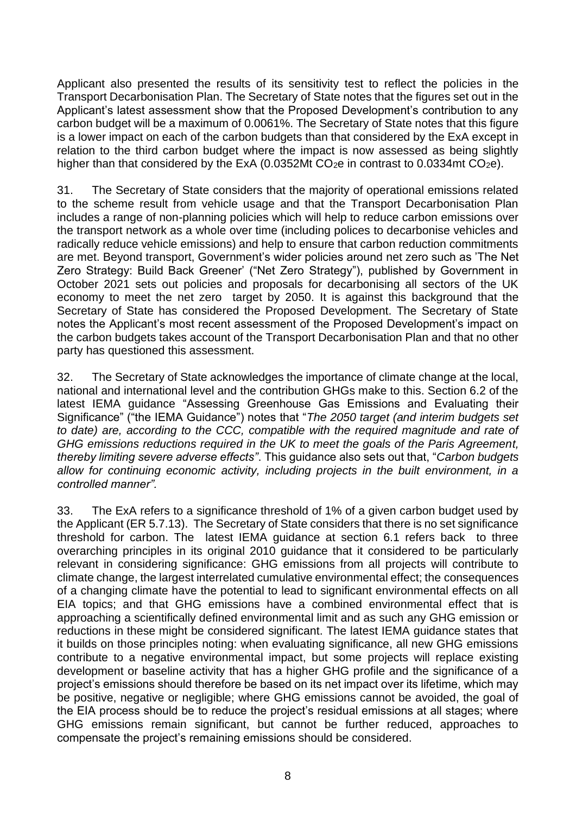Applicant also presented the results of its sensitivity test to reflect the policies in the Transport Decarbonisation Plan. The Secretary of State notes that the figures set out in the Applicant's latest assessment show that the Proposed Development's contribution to any carbon budget will be a maximum of 0.0061%. The Secretary of State notes that this figure is a lower impact on each of the carbon budgets than that considered by the ExA except in relation to the third carbon budget where the impact is now assessed as being slightly higher than that considered by the ExA (0.0352Mt  $CO<sub>2</sub>e$  in contrast to 0.0334mt  $CO<sub>2</sub>e$ ).

31. The Secretary of State considers that the majority of operational emissions related to the scheme result from vehicle usage and that the Transport Decarbonisation Plan includes a range of non-planning policies which will help to reduce carbon emissions over the transport network as a whole over time (including polices to decarbonise vehicles and radically reduce vehicle emissions) and help to ensure that carbon reduction commitments are met. Beyond transport, Government's wider policies around net zero such as 'The Net Zero Strategy: Build Back Greener' ("Net Zero Strategy"), published by Government in October 2021 sets out policies and proposals for decarbonising all sectors of the UK economy to meet the net zero target by 2050. It is against this background that the Secretary of State has considered the Proposed Development. The Secretary of State notes the Applicant's most recent assessment of the Proposed Development's impact on the carbon budgets takes account of the Transport Decarbonisation Plan and that no other party has questioned this assessment.

32. The Secretary of State acknowledges the importance of climate change at the local, national and international level and the contribution GHGs make to this. Section 6.2 of the latest IEMA guidance "Assessing Greenhouse Gas Emissions and Evaluating their Significance" ("the IEMA Guidance") notes that "*The 2050 target (and interim budgets set to date) are, according to the CCC, compatible with the required magnitude and rate of GHG emissions reductions required in the UK to meet the goals of the Paris Agreement, thereby limiting severe adverse effects"*. This guidance also sets out that, "*Carbon budgets allow for continuing economic activity, including projects in the built environment, in a controlled manner".*

33. The ExA refers to a significance threshold of 1% of a given carbon budget used by the Applicant (ER 5.7.13). The Secretary of State considers that there is no set significance threshold for carbon. The latest IEMA guidance at section 6.1 refers back to three overarching principles in its original 2010 guidance that it considered to be particularly relevant in considering significance: GHG emissions from all projects will contribute to climate change, the largest interrelated cumulative environmental effect; the consequences of a changing climate have the potential to lead to significant environmental effects on all EIA topics; and that GHG emissions have a combined environmental effect that is approaching a scientifically defined environmental limit and as such any GHG emission or reductions in these might be considered significant. The latest IEMA guidance states that it builds on those principles noting: when evaluating significance, all new GHG emissions contribute to a negative environmental impact, but some projects will replace existing development or baseline activity that has a higher GHG profile and the significance of a project's emissions should therefore be based on its net impact over its lifetime, which may be positive, negative or negligible; where GHG emissions cannot be avoided, the goal of the EIA process should be to reduce the project's residual emissions at all stages; where GHG emissions remain significant, but cannot be further reduced, approaches to compensate the project's remaining emissions should be considered.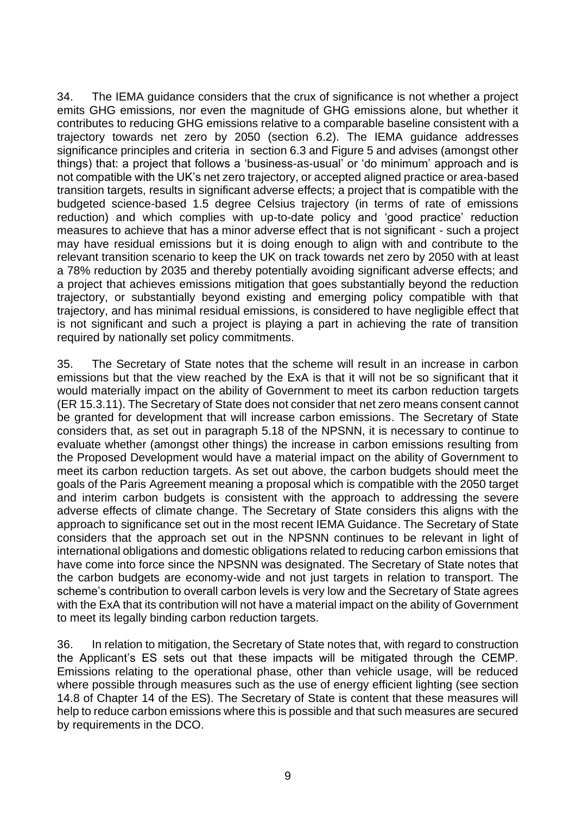34. The IEMA guidance considers that the crux of significance is not whether a project emits GHG emissions, nor even the magnitude of GHG emissions alone, but whether it contributes to reducing GHG emissions relative to a comparable baseline consistent with a trajectory towards net zero by 2050 (section 6.2). The IEMA guidance addresses significance principles and criteria in section 6.3 and Figure 5 and advises (amongst other things) that: a project that follows a 'business-as-usual' or 'do minimum' approach and is not compatible with the UK's net zero trajectory, or accepted aligned practice or area-based transition targets, results in significant adverse effects; a project that is compatible with the budgeted science-based 1.5 degree Celsius trajectory (in terms of rate of emissions reduction) and which complies with up-to-date policy and 'good practice' reduction measures to achieve that has a minor adverse effect that is not significant - such a project may have residual emissions but it is doing enough to align with and contribute to the relevant transition scenario to keep the UK on track towards net zero by 2050 with at least a 78% reduction by 2035 and thereby potentially avoiding significant adverse effects; and a project that achieves emissions mitigation that goes substantially beyond the reduction trajectory, or substantially beyond existing and emerging policy compatible with that trajectory, and has minimal residual emissions, is considered to have negligible effect that is not significant and such a project is playing a part in achieving the rate of transition required by nationally set policy commitments.

35. The Secretary of State notes that the scheme will result in an increase in carbon emissions but that the view reached by the ExA is that it will not be so significant that it would materially impact on the ability of Government to meet its carbon reduction targets (ER 15.3.11). The Secretary of State does not consider that net zero means consent cannot be granted for development that will increase carbon emissions. The Secretary of State considers that, as set out in paragraph 5.18 of the NPSNN, it is necessary to continue to evaluate whether (amongst other things) the increase in carbon emissions resulting from the Proposed Development would have a material impact on the ability of Government to meet its carbon reduction targets. As set out above, the carbon budgets should meet the goals of the Paris Agreement meaning a proposal which is compatible with the 2050 target and interim carbon budgets is consistent with the approach to addressing the severe adverse effects of climate change. The Secretary of State considers this aligns with the approach to significance set out in the most recent IEMA Guidance. The Secretary of State considers that the approach set out in the NPSNN continues to be relevant in light of international obligations and domestic obligations related to reducing carbon emissions that have come into force since the NPSNN was designated. The Secretary of State notes that the carbon budgets are economy-wide and not just targets in relation to transport. The scheme's contribution to overall carbon levels is very low and the Secretary of State agrees with the ExA that its contribution will not have a material impact on the ability of Government to meet its legally binding carbon reduction targets.

36. In relation to mitigation, the Secretary of State notes that, with regard to construction the Applicant's ES sets out that these impacts will be mitigated through the CEMP. Emissions relating to the operational phase, other than vehicle usage, will be reduced where possible through measures such as the use of energy efficient lighting (see section 14.8 of Chapter 14 of the ES). The Secretary of State is content that these measures will help to reduce carbon emissions where this is possible and that such measures are secured by requirements in the DCO.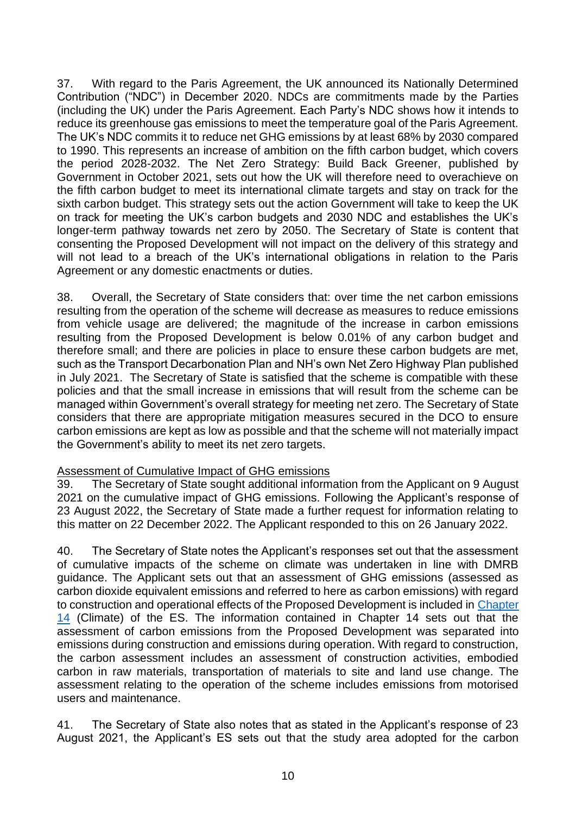37. With regard to the Paris Agreement, the UK announced its Nationally Determined Contribution ("NDC") in December 2020. NDCs are commitments made by the Parties (including the UK) under the Paris Agreement. Each Party's NDC shows how it intends to reduce its greenhouse gas emissions to meet the temperature goal of the Paris Agreement. The UK's NDC commits it to reduce net GHG emissions by at least 68% by 2030 compared to 1990. This represents an increase of ambition on the fifth carbon budget, which covers the period 2028-2032. The Net Zero Strategy: Build Back Greener, published by Government in October 2021, sets out how the UK will therefore need to overachieve on the fifth carbon budget to meet its international climate targets and stay on track for the sixth carbon budget. This strategy sets out the action Government will take to keep the UK on track for meeting the UK's carbon budgets and 2030 NDC and establishes the UK's longer-term pathway towards net zero by 2050. The Secretary of State is content that consenting the Proposed Development will not impact on the delivery of this strategy and will not lead to a breach of the UK's international obligations in relation to the Paris Agreement or any domestic enactments or duties.

38. Overall, the Secretary of State considers that: over time the net carbon emissions resulting from the operation of the scheme will decrease as measures to reduce emissions from vehicle usage are delivered; the magnitude of the increase in carbon emissions resulting from the Proposed Development is below 0.01% of any carbon budget and therefore small; and there are policies in place to ensure these carbon budgets are met, such as the Transport Decarbonation Plan and NH's own Net Zero Highway Plan published in July 2021. The Secretary of State is satisfied that the scheme is compatible with these policies and that the small increase in emissions that will result from the scheme can be managed within Government's overall strategy for meeting net zero. The Secretary of State considers that there are appropriate mitigation measures secured in the DCO to ensure carbon emissions are kept as low as possible and that the scheme will not materially impact the Government's ability to meet its net zero targets.

#### Assessment of Cumulative Impact of GHG emissions

39. The Secretary of State sought additional information from the Applicant on 9 August 2021 on the cumulative impact of GHG emissions. Following the Applicant's response of 23 August 2022, the Secretary of State made a further request for information relating to this matter on 22 December 2022. The Applicant responded to this on 26 January 2022.

40. The Secretary of State notes the Applicant's responses set out that the assessment of cumulative impacts of the scheme on climate was undertaken in line with DMRB guidance. The Applicant sets out that an assessment of GHG emissions (assessed as carbon dioxide equivalent emissions and referred to here as carbon emissions) with regard to construction and operational effects of the Proposed Development is included in [Chapter](https://infrastructure.planninginspectorate.gov.uk/wp-content/ipc/uploads/projects/TR010054/TR010054-000158-TR010054%20M54%206.1%20Environmental%20Statement%20Chapter%2014.pdf)  [14](https://infrastructure.planninginspectorate.gov.uk/wp-content/ipc/uploads/projects/TR010054/TR010054-000158-TR010054%20M54%206.1%20Environmental%20Statement%20Chapter%2014.pdf) (Climate) of the ES. The information contained in Chapter 14 sets out that the assessment of carbon emissions from the Proposed Development was separated into emissions during construction and emissions during operation. With regard to construction, the carbon assessment includes an assessment of construction activities, embodied carbon in raw materials, transportation of materials to site and land use change. The assessment relating to the operation of the scheme includes emissions from motorised users and maintenance.

41. The Secretary of State also notes that as stated in the Applicant's response of 23 August 2021, the Applicant's ES sets out that the study area adopted for the carbon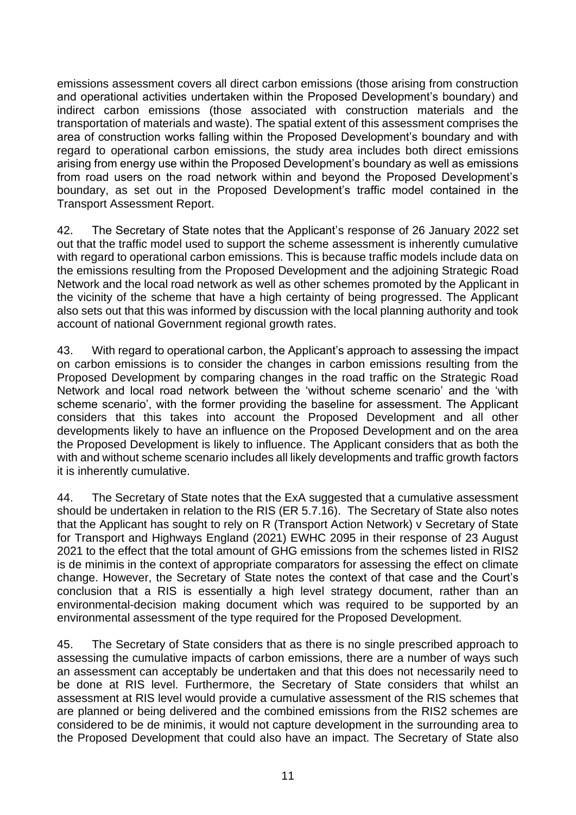emissions assessment covers all direct carbon emissions (those arising from construction and operational activities undertaken within the Proposed Development's boundary) and indirect carbon emissions (those associated with construction materials and the transportation of materials and waste). The spatial extent of this assessment comprises the area of construction works falling within the Proposed Development's boundary and with regard to operational carbon emissions, the study area includes both direct emissions arising from energy use within the Proposed Development's boundary as well as emissions from road users on the road network within and beyond the Proposed Development's boundary, as set out in the Proposed Development's traffic model contained in the Transport Assessment Report.

42. The Secretary of State notes that the Applicant's response of 26 January 2022 set out that the traffic model used to support the scheme assessment is inherently cumulative with regard to operational carbon emissions. This is because traffic models include data on the emissions resulting from the Proposed Development and the adjoining Strategic Road Network and the local road network as well as other schemes promoted by the Applicant in the vicinity of the scheme that have a high certainty of being progressed. The Applicant also sets out that this was informed by discussion with the local planning authority and took account of national Government regional growth rates.

43. With regard to operational carbon, the Applicant's approach to assessing the impact on carbon emissions is to consider the changes in carbon emissions resulting from the Proposed Development by comparing changes in the road traffic on the Strategic Road Network and local road network between the 'without scheme scenario' and the 'with scheme scenario', with the former providing the baseline for assessment. The Applicant considers that this takes into account the Proposed Development and all other developments likely to have an influence on the Proposed Development and on the area the Proposed Development is likely to influence. The Applicant considers that as both the with and without scheme scenario includes all likely developments and traffic growth factors it is inherently cumulative.

44. The Secretary of State notes that the ExA suggested that a cumulative assessment should be undertaken in relation to the RIS (ER 5.7.16). The Secretary of State also notes that the Applicant has sought to rely on R (Transport Action Network) v Secretary of State for Transport and Highways England (2021) EWHC 2095 in their response of 23 August 2021 to the effect that the total amount of GHG emissions from the schemes listed in RIS2 is de minimis in the context of appropriate comparators for assessing the effect on climate change. However, the Secretary of State notes the context of that case and the Court's conclusion that a RIS is essentially a high level strategy document, rather than an environmental-decision making document which was required to be supported by an environmental assessment of the type required for the Proposed Development.

45. The Secretary of State considers that as there is no single prescribed approach to assessing the cumulative impacts of carbon emissions, there are a number of ways such an assessment can acceptably be undertaken and that this does not necessarily need to be done at RIS level. Furthermore, the Secretary of State considers that whilst an assessment at RIS level would provide a cumulative assessment of the RIS schemes that are planned or being delivered and the combined emissions from the RIS2 schemes are considered to be de minimis, it would not capture development in the surrounding area to the Proposed Development that could also have an impact. The Secretary of State also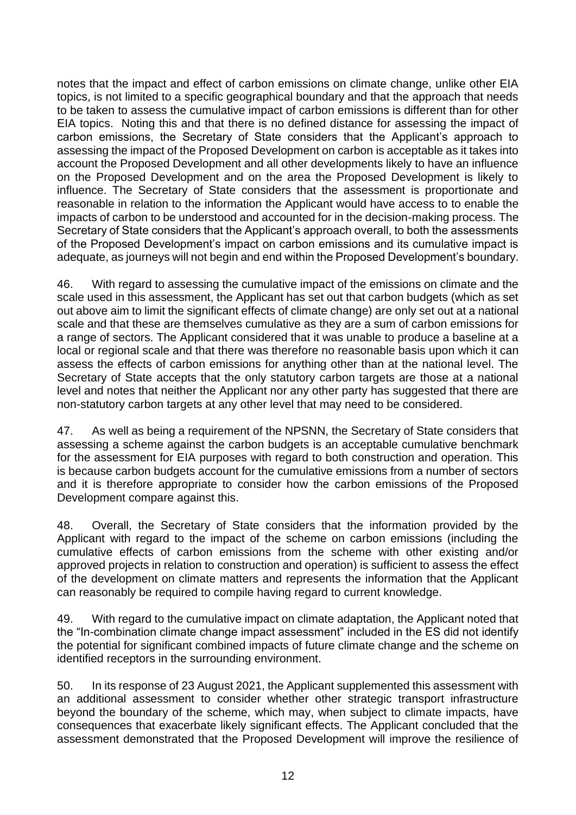notes that the impact and effect of carbon emissions on climate change, unlike other EIA topics, is not limited to a specific geographical boundary and that the approach that needs to be taken to assess the cumulative impact of carbon emissions is different than for other EIA topics. Noting this and that there is no defined distance for assessing the impact of carbon emissions, the Secretary of State considers that the Applicant's approach to assessing the impact of the Proposed Development on carbon is acceptable as it takes into account the Proposed Development and all other developments likely to have an influence on the Proposed Development and on the area the Proposed Development is likely to influence. The Secretary of State considers that the assessment is proportionate and reasonable in relation to the information the Applicant would have access to to enable the impacts of carbon to be understood and accounted for in the decision-making process. The Secretary of State considers that the Applicant's approach overall, to both the assessments of the Proposed Development's impact on carbon emissions and its cumulative impact is adequate, as journeys will not begin and end within the Proposed Development's boundary.

46. With regard to assessing the cumulative impact of the emissions on climate and the scale used in this assessment, the Applicant has set out that carbon budgets (which as set out above aim to limit the significant effects of climate change) are only set out at a national scale and that these are themselves cumulative as they are a sum of carbon emissions for a range of sectors. The Applicant considered that it was unable to produce a baseline at a local or regional scale and that there was therefore no reasonable basis upon which it can assess the effects of carbon emissions for anything other than at the national level. The Secretary of State accepts that the only statutory carbon targets are those at a national level and notes that neither the Applicant nor any other party has suggested that there are non-statutory carbon targets at any other level that may need to be considered.

47. As well as being a requirement of the NPSNN, the Secretary of State considers that assessing a scheme against the carbon budgets is an acceptable cumulative benchmark for the assessment for EIA purposes with regard to both construction and operation. This is because carbon budgets account for the cumulative emissions from a number of sectors and it is therefore appropriate to consider how the carbon emissions of the Proposed Development compare against this.

48. Overall, the Secretary of State considers that the information provided by the Applicant with regard to the impact of the scheme on carbon emissions (including the cumulative effects of carbon emissions from the scheme with other existing and/or approved projects in relation to construction and operation) is sufficient to assess the effect of the development on climate matters and represents the information that the Applicant can reasonably be required to compile having regard to current knowledge.

49. With regard to the cumulative impact on climate adaptation, the Applicant noted that the "In-combination climate change impact assessment" included in the ES did not identify the potential for significant combined impacts of future climate change and the scheme on identified receptors in the surrounding environment.

50. In its response of 23 August 2021, the Applicant supplemented this assessment with an additional assessment to consider whether other strategic transport infrastructure beyond the boundary of the scheme, which may, when subject to climate impacts, have consequences that exacerbate likely significant effects. The Applicant concluded that the assessment demonstrated that the Proposed Development will improve the resilience of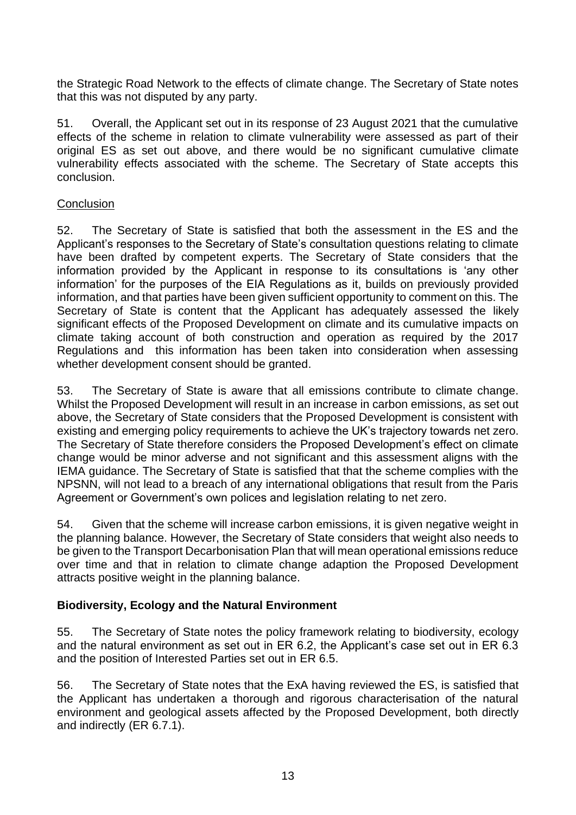the Strategic Road Network to the effects of climate change. The Secretary of State notes that this was not disputed by any party.

51. Overall, the Applicant set out in its response of 23 August 2021 that the cumulative effects of the scheme in relation to climate vulnerability were assessed as part of their original ES as set out above, and there would be no significant cumulative climate vulnerability effects associated with the scheme. The Secretary of State accepts this conclusion.

#### **Conclusion**

52. The Secretary of State is satisfied that both the assessment in the ES and the Applicant's responses to the Secretary of State's consultation questions relating to climate have been drafted by competent experts. The Secretary of State considers that the information provided by the Applicant in response to its consultations is 'any other information' for the purposes of the EIA Regulations as it, builds on previously provided information, and that parties have been given sufficient opportunity to comment on this. The Secretary of State is content that the Applicant has adequately assessed the likely significant effects of the Proposed Development on climate and its cumulative impacts on climate taking account of both construction and operation as required by the 2017 Regulations and this information has been taken into consideration when assessing whether development consent should be granted.

53. The Secretary of State is aware that all emissions contribute to climate change. Whilst the Proposed Development will result in an increase in carbon emissions, as set out above, the Secretary of State considers that the Proposed Development is consistent with existing and emerging policy requirements to achieve the UK's trajectory towards net zero. The Secretary of State therefore considers the Proposed Development's effect on climate change would be minor adverse and not significant and this assessment aligns with the IEMA guidance. The Secretary of State is satisfied that that the scheme complies with the NPSNN, will not lead to a breach of any international obligations that result from the Paris Agreement or Government's own polices and legislation relating to net zero.

54. Given that the scheme will increase carbon emissions, it is given negative weight in the planning balance. However, the Secretary of State considers that weight also needs to be given to the Transport Decarbonisation Plan that will mean operational emissions reduce over time and that in relation to climate change adaption the Proposed Development attracts positive weight in the planning balance.

#### **Biodiversity, Ecology and the Natural Environment**

55. The Secretary of State notes the policy framework relating to biodiversity, ecology and the natural environment as set out in ER 6.2, the Applicant's case set out in ER 6.3 and the position of Interested Parties set out in ER 6.5.

56. The Secretary of State notes that the ExA having reviewed the ES, is satisfied that the Applicant has undertaken a thorough and rigorous characterisation of the natural environment and geological assets affected by the Proposed Development, both directly and indirectly (ER 6.7.1).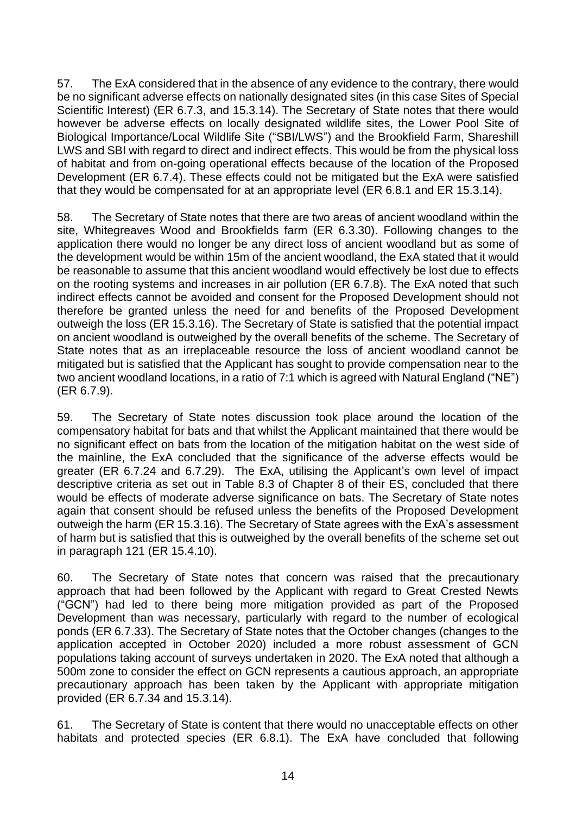57. The ExA considered that in the absence of any evidence to the contrary, there would be no significant adverse effects on nationally designated sites (in this case Sites of Special Scientific Interest) (ER 6.7.3, and 15.3.14). The Secretary of State notes that there would however be adverse effects on locally designated wildlife sites, the Lower Pool Site of Biological Importance/Local Wildlife Site ("SBI/LWS") and the Brookfield Farm, Shareshill LWS and SBI with regard to direct and indirect effects. This would be from the physical loss of habitat and from on-going operational effects because of the location of the Proposed Development (ER 6.7.4). These effects could not be mitigated but the ExA were satisfied that they would be compensated for at an appropriate level (ER 6.8.1 and ER 15.3.14).

58. The Secretary of State notes that there are two areas of ancient woodland within the site, Whitegreaves Wood and Brookfields farm (ER 6.3.30). Following changes to the application there would no longer be any direct loss of ancient woodland but as some of the development would be within 15m of the ancient woodland, the ExA stated that it would be reasonable to assume that this ancient woodland would effectively be lost due to effects on the rooting systems and increases in air pollution (ER 6.7.8). The ExA noted that such indirect effects cannot be avoided and consent for the Proposed Development should not therefore be granted unless the need for and benefits of the Proposed Development outweigh the loss (ER 15.3.16). The Secretary of State is satisfied that the potential impact on ancient woodland is outweighed by the overall benefits of the scheme. The Secretary of State notes that as an irreplaceable resource the loss of ancient woodland cannot be mitigated but is satisfied that the Applicant has sought to provide compensation near to the two ancient woodland locations, in a ratio of 7:1 which is agreed with Natural England ("NE") (ER 6.7.9).

59. The Secretary of State notes discussion took place around the location of the compensatory habitat for bats and that whilst the Applicant maintained that there would be no significant effect on bats from the location of the mitigation habitat on the west side of the mainline, the ExA concluded that the significance of the adverse effects would be greater (ER 6.7.24 and 6.7.29). The ExA, utilising the Applicant's own level of impact descriptive criteria as set out in Table 8.3 of Chapter 8 of their ES, concluded that there would be effects of moderate adverse significance on bats. The Secretary of State notes again that consent should be refused unless the benefits of the Proposed Development outweigh the harm (ER 15.3.16). The Secretary of State agrees with the ExA's assessment of harm but is satisfied that this is outweighed by the overall benefits of the scheme set out in paragraph 121 (ER 15.4.10).

60. The Secretary of State notes that concern was raised that the precautionary approach that had been followed by the Applicant with regard to Great Crested Newts ("GCN") had led to there being more mitigation provided as part of the Proposed Development than was necessary, particularly with regard to the number of ecological ponds (ER 6.7.33). The Secretary of State notes that the October changes (changes to the application accepted in October 2020) included a more robust assessment of GCN populations taking account of surveys undertaken in 2020. The ExA noted that although a 500m zone to consider the effect on GCN represents a cautious approach, an appropriate precautionary approach has been taken by the Applicant with appropriate mitigation provided (ER 6.7.34 and 15.3.14).

61. The Secretary of State is content that there would no unacceptable effects on other habitats and protected species (ER 6.8.1). The ExA have concluded that following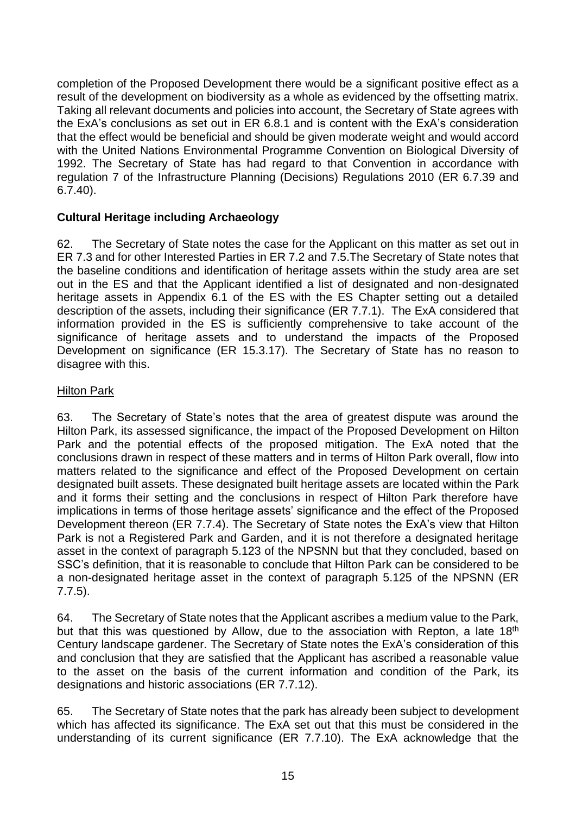completion of the Proposed Development there would be a significant positive effect as a result of the development on biodiversity as a whole as evidenced by the offsetting matrix. Taking all relevant documents and policies into account, the Secretary of State agrees with the ExA's conclusions as set out in ER 6.8.1 and is content with the ExA's consideration that the effect would be beneficial and should be given moderate weight and would accord with the United Nations Environmental Programme Convention on Biological Diversity of 1992. The Secretary of State has had regard to that Convention in accordance with regulation 7 of the Infrastructure Planning (Decisions) Regulations 2010 (ER 6.7.39 and 6.7.40).

### **Cultural Heritage including Archaeology**

62. The Secretary of State notes the case for the Applicant on this matter as set out in ER 7.3 and for other Interested Parties in ER 7.2 and 7.5.The Secretary of State notes that the baseline conditions and identification of heritage assets within the study area are set out in the ES and that the Applicant identified a list of designated and non-designated heritage assets in Appendix 6.1 of the ES with the ES Chapter setting out a detailed description of the assets, including their significance (ER 7.7.1). The ExA considered that information provided in the ES is sufficiently comprehensive to take account of the significance of heritage assets and to understand the impacts of the Proposed Development on significance (ER 15.3.17). The Secretary of State has no reason to disagree with this.

#### **Hilton Park**

63. The Secretary of State's notes that the area of greatest dispute was around the Hilton Park, its assessed significance, the impact of the Proposed Development on Hilton Park and the potential effects of the proposed mitigation. The ExA noted that the conclusions drawn in respect of these matters and in terms of Hilton Park overall, flow into matters related to the significance and effect of the Proposed Development on certain designated built assets. These designated built heritage assets are located within the Park and it forms their setting and the conclusions in respect of Hilton Park therefore have implications in terms of those heritage assets' significance and the effect of the Proposed Development thereon (ER 7.7.4). The Secretary of State notes the ExA's view that Hilton Park is not a Registered Park and Garden, and it is not therefore a designated heritage asset in the context of paragraph 5.123 of the NPSNN but that they concluded, based on SSC's definition, that it is reasonable to conclude that Hilton Park can be considered to be a non-designated heritage asset in the context of paragraph 5.125 of the NPSNN (ER 7.7.5).

64. The Secretary of State notes that the Applicant ascribes a medium value to the Park, but that this was questioned by Allow, due to the association with Repton, a late 18<sup>th</sup> Century landscape gardener. The Secretary of State notes the ExA's consideration of this and conclusion that they are satisfied that the Applicant has ascribed a reasonable value to the asset on the basis of the current information and condition of the Park, its designations and historic associations (ER 7.7.12).

65. The Secretary of State notes that the park has already been subject to development which has affected its significance. The ExA set out that this must be considered in the understanding of its current significance (ER 7.7.10). The ExA acknowledge that the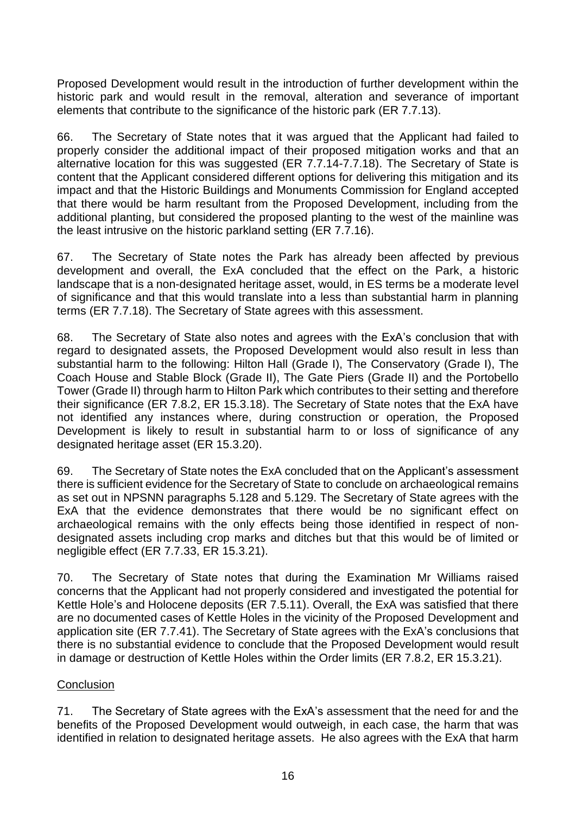Proposed Development would result in the introduction of further development within the historic park and would result in the removal, alteration and severance of important elements that contribute to the significance of the historic park (ER 7.7.13).

66. The Secretary of State notes that it was argued that the Applicant had failed to properly consider the additional impact of their proposed mitigation works and that an alternative location for this was suggested (ER 7.7.14-7.7.18). The Secretary of State is content that the Applicant considered different options for delivering this mitigation and its impact and that the Historic Buildings and Monuments Commission for England accepted that there would be harm resultant from the Proposed Development, including from the additional planting, but considered the proposed planting to the west of the mainline was the least intrusive on the historic parkland setting (ER 7.7.16).

67. The Secretary of State notes the Park has already been affected by previous development and overall, the ExA concluded that the effect on the Park, a historic landscape that is a non-designated heritage asset, would, in ES terms be a moderate level of significance and that this would translate into a less than substantial harm in planning terms (ER 7.7.18). The Secretary of State agrees with this assessment.

68. The Secretary of State also notes and agrees with the ExA's conclusion that with regard to designated assets, the Proposed Development would also result in less than substantial harm to the following: Hilton Hall (Grade I), The Conservatory (Grade I), The Coach House and Stable Block (Grade II), The Gate Piers (Grade II) and the Portobello Tower (Grade II) through harm to Hilton Park which contributes to their setting and therefore their significance (ER 7.8.2, ER 15.3.18). The Secretary of State notes that the ExA have not identified any instances where, during construction or operation, the Proposed Development is likely to result in substantial harm to or loss of significance of any designated heritage asset (ER 15.3.20).

69. The Secretary of State notes the ExA concluded that on the Applicant's assessment there is sufficient evidence for the Secretary of State to conclude on archaeological remains as set out in NPSNN paragraphs 5.128 and 5.129. The Secretary of State agrees with the ExA that the evidence demonstrates that there would be no significant effect on archaeological remains with the only effects being those identified in respect of nondesignated assets including crop marks and ditches but that this would be of limited or negligible effect (ER 7.7.33, ER 15.3.21).

70. The Secretary of State notes that during the Examination Mr Williams raised concerns that the Applicant had not properly considered and investigated the potential for Kettle Hole's and Holocene deposits (ER 7.5.11). Overall, the ExA was satisfied that there are no documented cases of Kettle Holes in the vicinity of the Proposed Development and application site (ER 7.7.41). The Secretary of State agrees with the ExA's conclusions that there is no substantial evidence to conclude that the Proposed Development would result in damage or destruction of Kettle Holes within the Order limits (ER 7.8.2, ER 15.3.21).

#### **Conclusion**

71. The Secretary of State agrees with the ExA's assessment that the need for and the benefits of the Proposed Development would outweigh, in each case, the harm that was identified in relation to designated heritage assets. He also agrees with the ExA that harm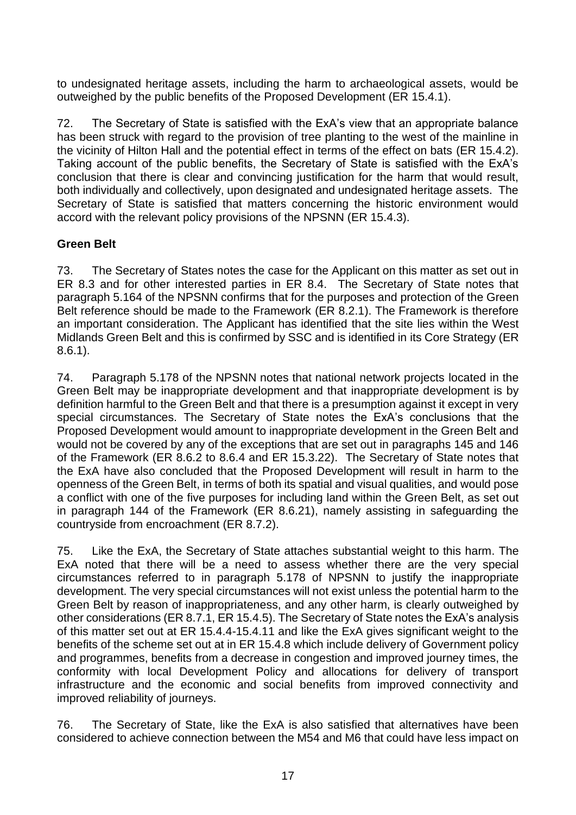to undesignated heritage assets, including the harm to archaeological assets, would be outweighed by the public benefits of the Proposed Development (ER 15.4.1).

72. The Secretary of State is satisfied with the ExA's view that an appropriate balance has been struck with regard to the provision of tree planting to the west of the mainline in the vicinity of Hilton Hall and the potential effect in terms of the effect on bats (ER 15.4.2). Taking account of the public benefits, the Secretary of State is satisfied with the ExA's conclusion that there is clear and convincing justification for the harm that would result, both individually and collectively, upon designated and undesignated heritage assets. The Secretary of State is satisfied that matters concerning the historic environment would accord with the relevant policy provisions of the NPSNN (ER 15.4.3).

## **Green Belt**

73. The Secretary of States notes the case for the Applicant on this matter as set out in ER 8.3 and for other interested parties in ER 8.4. The Secretary of State notes that paragraph 5.164 of the NPSNN confirms that for the purposes and protection of the Green Belt reference should be made to the Framework (ER 8.2.1). The Framework is therefore an important consideration. The Applicant has identified that the site lies within the West Midlands Green Belt and this is confirmed by SSC and is identified in its Core Strategy (ER 8.6.1).

74. Paragraph 5.178 of the NPSNN notes that national network projects located in the Green Belt may be inappropriate development and that inappropriate development is by definition harmful to the Green Belt and that there is a presumption against it except in very special circumstances. The Secretary of State notes the ExA's conclusions that the Proposed Development would amount to inappropriate development in the Green Belt and would not be covered by any of the exceptions that are set out in paragraphs 145 and 146 of the Framework (ER 8.6.2 to 8.6.4 and ER 15.3.22). The Secretary of State notes that the ExA have also concluded that the Proposed Development will result in harm to the openness of the Green Belt, in terms of both its spatial and visual qualities, and would pose a conflict with one of the five purposes for including land within the Green Belt, as set out in paragraph 144 of the Framework (ER 8.6.21), namely assisting in safeguarding the countryside from encroachment (ER 8.7.2).

75. Like the ExA, the Secretary of State attaches substantial weight to this harm. The ExA noted that there will be a need to assess whether there are the very special circumstances referred to in paragraph 5.178 of NPSNN to justify the inappropriate development. The very special circumstances will not exist unless the potential harm to the Green Belt by reason of inappropriateness, and any other harm, is clearly outweighed by other considerations (ER 8.7.1, ER 15.4.5). The Secretary of State notes the ExA's analysis of this matter set out at ER 15.4.4-15.4.11 and like the ExA gives significant weight to the benefits of the scheme set out at in ER 15.4.8 which include delivery of Government policy and programmes, benefits from a decrease in congestion and improved journey times, the conformity with local Development Policy and allocations for delivery of transport infrastructure and the economic and social benefits from improved connectivity and improved reliability of journeys.

76. The Secretary of State, like the ExA is also satisfied that alternatives have been considered to achieve connection between the M54 and M6 that could have less impact on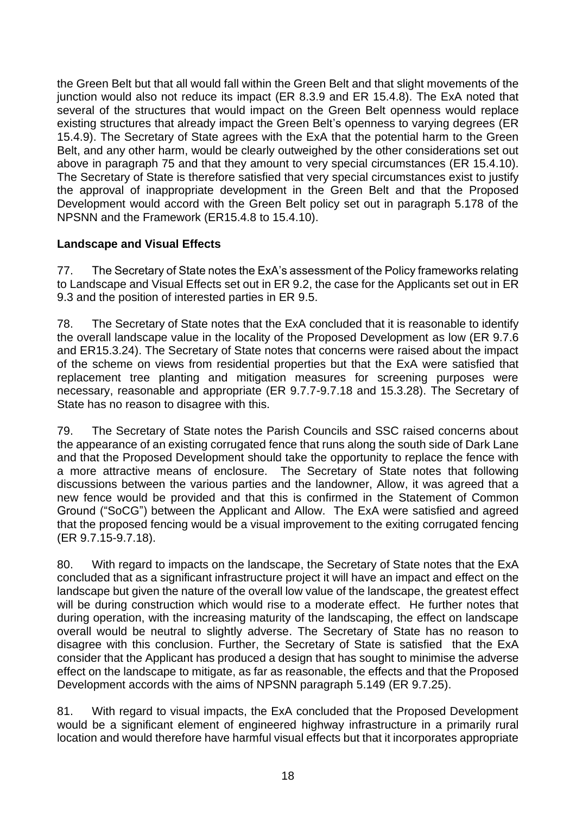the Green Belt but that all would fall within the Green Belt and that slight movements of the junction would also not reduce its impact (ER 8.3.9 and ER 15.4.8). The ExA noted that several of the structures that would impact on the Green Belt openness would replace existing structures that already impact the Green Belt's openness to varying degrees (ER 15.4.9). The Secretary of State agrees with the ExA that the potential harm to the Green Belt, and any other harm, would be clearly outweighed by the other considerations set out above in paragraph 75 and that they amount to very special circumstances (ER 15.4.10). The Secretary of State is therefore satisfied that very special circumstances exist to justify the approval of inappropriate development in the Green Belt and that the Proposed Development would accord with the Green Belt policy set out in paragraph 5.178 of the NPSNN and the Framework (ER15.4.8 to 15.4.10).

### **Landscape and Visual Effects**

77. The Secretary of State notes the ExA's assessment of the Policy frameworks relating to Landscape and Visual Effects set out in ER 9.2, the case for the Applicants set out in ER 9.3 and the position of interested parties in ER 9.5.

78. The Secretary of State notes that the ExA concluded that it is reasonable to identify the overall landscape value in the locality of the Proposed Development as low (ER 9.7.6 and ER15.3.24). The Secretary of State notes that concerns were raised about the impact of the scheme on views from residential properties but that the ExA were satisfied that replacement tree planting and mitigation measures for screening purposes were necessary, reasonable and appropriate (ER 9.7.7-9.7.18 and 15.3.28). The Secretary of State has no reason to disagree with this.

79. The Secretary of State notes the Parish Councils and SSC raised concerns about the appearance of an existing corrugated fence that runs along the south side of Dark Lane and that the Proposed Development should take the opportunity to replace the fence with a more attractive means of enclosure. The Secretary of State notes that following discussions between the various parties and the landowner, Allow, it was agreed that a new fence would be provided and that this is confirmed in the Statement of Common Ground ("SoCG") between the Applicant and Allow. The ExA were satisfied and agreed that the proposed fencing would be a visual improvement to the exiting corrugated fencing (ER 9.7.15-9.7.18).

80. With regard to impacts on the landscape, the Secretary of State notes that the ExA concluded that as a significant infrastructure project it will have an impact and effect on the landscape but given the nature of the overall low value of the landscape, the greatest effect will be during construction which would rise to a moderate effect. He further notes that during operation, with the increasing maturity of the landscaping, the effect on landscape overall would be neutral to slightly adverse. The Secretary of State has no reason to disagree with this conclusion. Further, the Secretary of State is satisfied that the ExA consider that the Applicant has produced a design that has sought to minimise the adverse effect on the landscape to mitigate, as far as reasonable, the effects and that the Proposed Development accords with the aims of NPSNN paragraph 5.149 (ER 9.7.25).

81. With regard to visual impacts, the ExA concluded that the Proposed Development would be a significant element of engineered highway infrastructure in a primarily rural location and would therefore have harmful visual effects but that it incorporates appropriate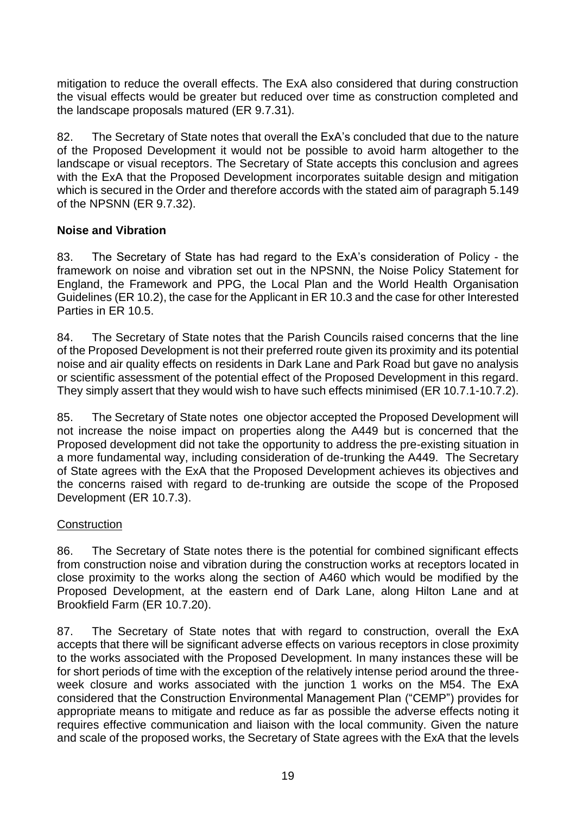mitigation to reduce the overall effects. The ExA also considered that during construction the visual effects would be greater but reduced over time as construction completed and the landscape proposals matured (ER 9.7.31).

82. The Secretary of State notes that overall the ExA's concluded that due to the nature of the Proposed Development it would not be possible to avoid harm altogether to the landscape or visual receptors. The Secretary of State accepts this conclusion and agrees with the ExA that the Proposed Development incorporates suitable design and mitigation which is secured in the Order and therefore accords with the stated aim of paragraph 5.149 of the NPSNN (ER 9.7.32).

#### **Noise and Vibration**

83. The Secretary of State has had regard to the ExA's consideration of Policy - the framework on noise and vibration set out in the NPSNN, the Noise Policy Statement for England, the Framework and PPG, the Local Plan and the World Health Organisation Guidelines (ER 10.2), the case for the Applicant in ER 10.3 and the case for other Interested Parties in ER 10.5.

84. The Secretary of State notes that the Parish Councils raised concerns that the line of the Proposed Development is not their preferred route given its proximity and its potential noise and air quality effects on residents in Dark Lane and Park Road but gave no analysis or scientific assessment of the potential effect of the Proposed Development in this regard. They simply assert that they would wish to have such effects minimised (ER 10.7.1-10.7.2).

85. The Secretary of State notes one objector accepted the Proposed Development will not increase the noise impact on properties along the A449 but is concerned that the Proposed development did not take the opportunity to address the pre-existing situation in a more fundamental way, including consideration of de-trunking the A449. The Secretary of State agrees with the ExA that the Proposed Development achieves its objectives and the concerns raised with regard to de-trunking are outside the scope of the Proposed Development (ER 10.7.3).

#### **Construction**

86. The Secretary of State notes there is the potential for combined significant effects from construction noise and vibration during the construction works at receptors located in close proximity to the works along the section of A460 which would be modified by the Proposed Development, at the eastern end of Dark Lane, along Hilton Lane and at Brookfield Farm (ER 10.7.20).

87. The Secretary of State notes that with regard to construction, overall the ExA accepts that there will be significant adverse effects on various receptors in close proximity to the works associated with the Proposed Development. In many instances these will be for short periods of time with the exception of the relatively intense period around the threeweek closure and works associated with the junction 1 works on the M54. The ExA considered that the Construction Environmental Management Plan ("CEMP") provides for appropriate means to mitigate and reduce as far as possible the adverse effects noting it requires effective communication and liaison with the local community. Given the nature and scale of the proposed works, the Secretary of State agrees with the ExA that the levels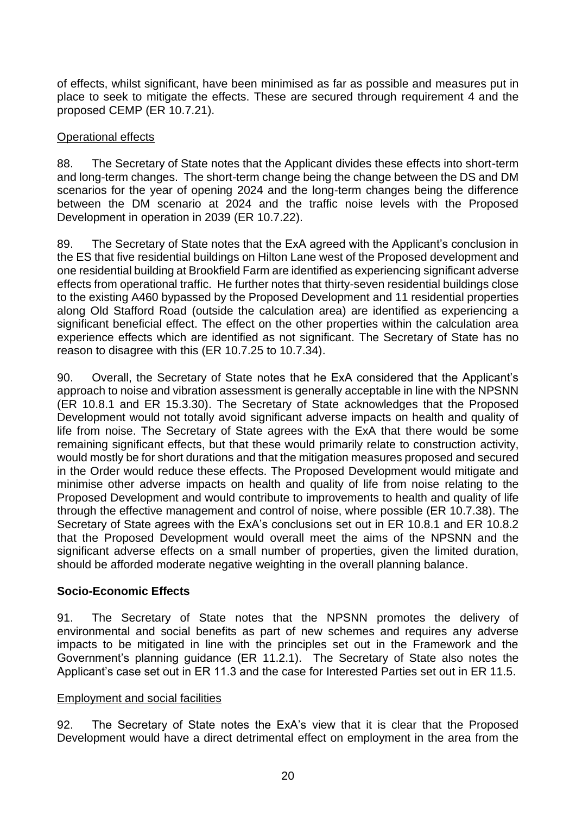of effects, whilst significant, have been minimised as far as possible and measures put in place to seek to mitigate the effects. These are secured through requirement 4 and the proposed CEMP (ER 10.7.21).

#### Operational effects

88. The Secretary of State notes that the Applicant divides these effects into short-term and long-term changes. The short-term change being the change between the DS and DM scenarios for the year of opening 2024 and the long-term changes being the difference between the DM scenario at 2024 and the traffic noise levels with the Proposed Development in operation in 2039 (ER 10.7.22).

89. The Secretary of State notes that the ExA agreed with the Applicant's conclusion in the ES that five residential buildings on Hilton Lane west of the Proposed development and one residential building at Brookfield Farm are identified as experiencing significant adverse effects from operational traffic. He further notes that thirty-seven residential buildings close to the existing A460 bypassed by the Proposed Development and 11 residential properties along Old Stafford Road (outside the calculation area) are identified as experiencing a significant beneficial effect. The effect on the other properties within the calculation area experience effects which are identified as not significant. The Secretary of State has no reason to disagree with this (ER 10.7.25 to 10.7.34).

90. Overall, the Secretary of State notes that he ExA considered that the Applicant's approach to noise and vibration assessment is generally acceptable in line with the NPSNN (ER 10.8.1 and ER 15.3.30). The Secretary of State acknowledges that the Proposed Development would not totally avoid significant adverse impacts on health and quality of life from noise. The Secretary of State agrees with the ExA that there would be some remaining significant effects, but that these would primarily relate to construction activity, would mostly be for short durations and that the mitigation measures proposed and secured in the Order would reduce these effects. The Proposed Development would mitigate and minimise other adverse impacts on health and quality of life from noise relating to the Proposed Development and would contribute to improvements to health and quality of life through the effective management and control of noise, where possible (ER 10.7.38). The Secretary of State agrees with the ExA's conclusions set out in ER 10.8.1 and ER 10.8.2 that the Proposed Development would overall meet the aims of the NPSNN and the significant adverse effects on a small number of properties, given the limited duration, should be afforded moderate negative weighting in the overall planning balance.

## **Socio-Economic Effects**

91. The Secretary of State notes that the NPSNN promotes the delivery of environmental and social benefits as part of new schemes and requires any adverse impacts to be mitigated in line with the principles set out in the Framework and the Government's planning guidance (ER 11.2.1). The Secretary of State also notes the Applicant's case set out in ER 11.3 and the case for Interested Parties set out in ER 11.5.

#### Employment and social facilities

92. The Secretary of State notes the ExA's view that it is clear that the Proposed Development would have a direct detrimental effect on employment in the area from the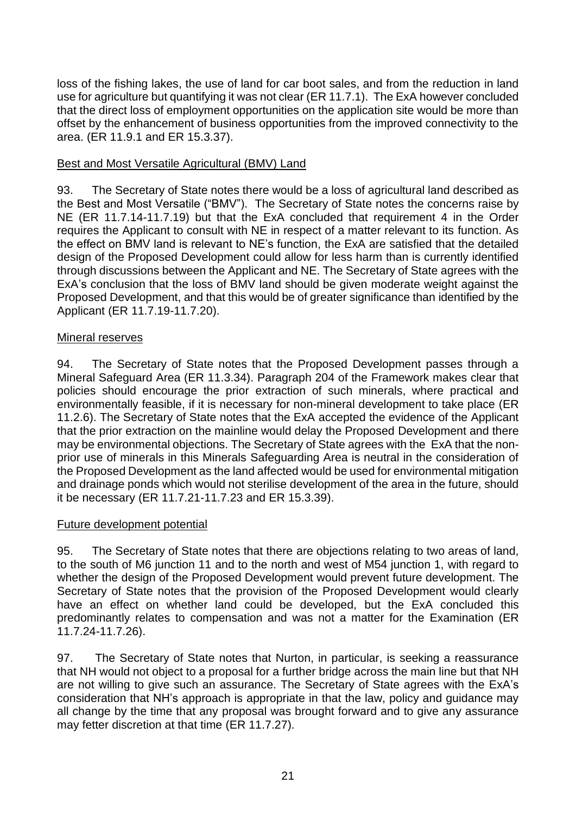loss of the fishing lakes, the use of land for car boot sales, and from the reduction in land use for agriculture but quantifying it was not clear (ER 11.7.1). The ExA however concluded that the direct loss of employment opportunities on the application site would be more than offset by the enhancement of business opportunities from the improved connectivity to the area. (ER 11.9.1 and ER 15.3.37).

### Best and Most Versatile Agricultural (BMV) Land

93. The Secretary of State notes there would be a loss of agricultural land described as the Best and Most Versatile ("BMV"). The Secretary of State notes the concerns raise by NE (ER 11.7.14-11.7.19) but that the ExA concluded that requirement 4 in the Order requires the Applicant to consult with NE in respect of a matter relevant to its function. As the effect on BMV land is relevant to NE's function, the ExA are satisfied that the detailed design of the Proposed Development could allow for less harm than is currently identified through discussions between the Applicant and NE. The Secretary of State agrees with the ExA's conclusion that the loss of BMV land should be given moderate weight against the Proposed Development, and that this would be of greater significance than identified by the Applicant (ER 11.7.19-11.7.20).

### Mineral reserves

94. The Secretary of State notes that the Proposed Development passes through a Mineral Safeguard Area (ER 11.3.34). Paragraph 204 of the Framework makes clear that policies should encourage the prior extraction of such minerals, where practical and environmentally feasible, if it is necessary for non-mineral development to take place (ER 11.2.6). The Secretary of State notes that the ExA accepted the evidence of the Applicant that the prior extraction on the mainline would delay the Proposed Development and there may be environmental objections. The Secretary of State agrees with the ExA that the nonprior use of minerals in this Minerals Safeguarding Area is neutral in the consideration of the Proposed Development as the land affected would be used for environmental mitigation and drainage ponds which would not sterilise development of the area in the future, should it be necessary (ER 11.7.21-11.7.23 and ER 15.3.39).

#### Future development potential

95. The Secretary of State notes that there are objections relating to two areas of land, to the south of M6 junction 11 and to the north and west of M54 junction 1, with regard to whether the design of the Proposed Development would prevent future development. The Secretary of State notes that the provision of the Proposed Development would clearly have an effect on whether land could be developed, but the ExA concluded this predominantly relates to compensation and was not a matter for the Examination (ER 11.7.24-11.7.26).

97. The Secretary of State notes that Nurton, in particular, is seeking a reassurance that NH would not object to a proposal for a further bridge across the main line but that NH are not willing to give such an assurance. The Secretary of State agrees with the ExA's consideration that NH's approach is appropriate in that the law, policy and guidance may all change by the time that any proposal was brought forward and to give any assurance may fetter discretion at that time (ER 11.7.27).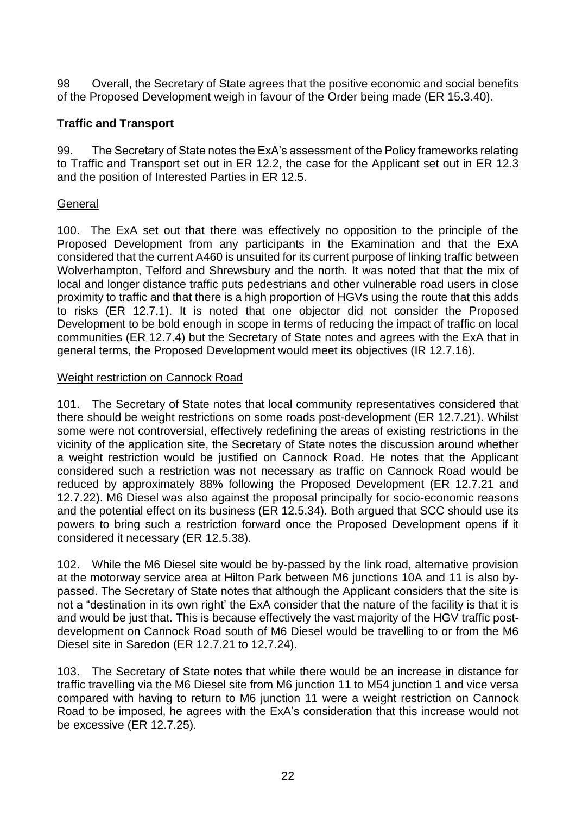98 Overall, the Secretary of State agrees that the positive economic and social benefits of the Proposed Development weigh in favour of the Order being made (ER 15.3.40).

### **Traffic and Transport**

99. The Secretary of State notes the ExA's assessment of the Policy frameworks relating to Traffic and Transport set out in ER 12.2, the case for the Applicant set out in ER 12.3 and the position of Interested Parties in ER 12.5.

### General

100. The ExA set out that there was effectively no opposition to the principle of the Proposed Development from any participants in the Examination and that the ExA considered that the current A460 is unsuited for its current purpose of linking traffic between Wolverhampton, Telford and Shrewsbury and the north. It was noted that that the mix of local and longer distance traffic puts pedestrians and other vulnerable road users in close proximity to traffic and that there is a high proportion of HGVs using the route that this adds to risks (ER 12.7.1). It is noted that one objector did not consider the Proposed Development to be bold enough in scope in terms of reducing the impact of traffic on local communities (ER 12.7.4) but the Secretary of State notes and agrees with the ExA that in general terms, the Proposed Development would meet its objectives (IR 12.7.16).

### Weight restriction on Cannock Road

101. The Secretary of State notes that local community representatives considered that there should be weight restrictions on some roads post-development (ER 12.7.21). Whilst some were not controversial, effectively redefining the areas of existing restrictions in the vicinity of the application site, the Secretary of State notes the discussion around whether a weight restriction would be justified on Cannock Road. He notes that the Applicant considered such a restriction was not necessary as traffic on Cannock Road would be reduced by approximately 88% following the Proposed Development (ER 12.7.21 and 12.7.22). M6 Diesel was also against the proposal principally for socio-economic reasons and the potential effect on its business (ER 12.5.34). Both argued that SCC should use its powers to bring such a restriction forward once the Proposed Development opens if it considered it necessary (ER 12.5.38).

102. While the M6 Diesel site would be by-passed by the link road, alternative provision at the motorway service area at Hilton Park between M6 junctions 10A and 11 is also bypassed. The Secretary of State notes that although the Applicant considers that the site is not a "destination in its own right' the ExA consider that the nature of the facility is that it is and would be just that. This is because effectively the vast majority of the HGV traffic postdevelopment on Cannock Road south of M6 Diesel would be travelling to or from the M6 Diesel site in Saredon (ER 12.7.21 to 12.7.24).

103. The Secretary of State notes that while there would be an increase in distance for traffic travelling via the M6 Diesel site from M6 junction 11 to M54 junction 1 and vice versa compared with having to return to M6 junction 11 were a weight restriction on Cannock Road to be imposed, he agrees with the ExA's consideration that this increase would not be excessive (ER 12.7.25).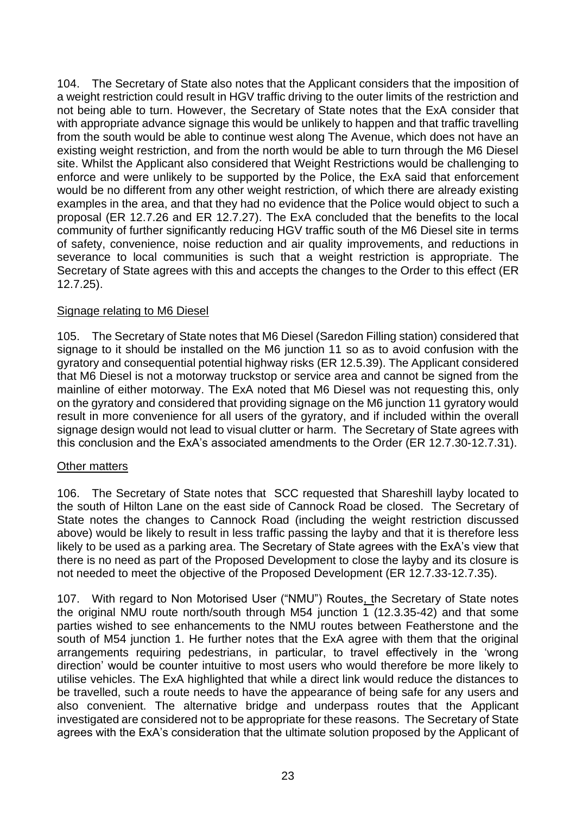104. The Secretary of State also notes that the Applicant considers that the imposition of a weight restriction could result in HGV traffic driving to the outer limits of the restriction and not being able to turn. However, the Secretary of State notes that the ExA consider that with appropriate advance signage this would be unlikely to happen and that traffic travelling from the south would be able to continue west along The Avenue, which does not have an existing weight restriction, and from the north would be able to turn through the M6 Diesel site. Whilst the Applicant also considered that Weight Restrictions would be challenging to enforce and were unlikely to be supported by the Police, the ExA said that enforcement would be no different from any other weight restriction, of which there are already existing examples in the area, and that they had no evidence that the Police would object to such a proposal (ER 12.7.26 and ER 12.7.27). The ExA concluded that the benefits to the local community of further significantly reducing HGV traffic south of the M6 Diesel site in terms of safety, convenience, noise reduction and air quality improvements, and reductions in severance to local communities is such that a weight restriction is appropriate. The Secretary of State agrees with this and accepts the changes to the Order to this effect (ER 12.7.25).

#### Signage relating to M6 Diesel

105. The Secretary of State notes that M6 Diesel (Saredon Filling station) considered that signage to it should be installed on the M6 junction 11 so as to avoid confusion with the gyratory and consequential potential highway risks (ER 12.5.39). The Applicant considered that M6 Diesel is not a motorway truckstop or service area and cannot be signed from the mainline of either motorway. The ExA noted that M6 Diesel was not requesting this, only on the gyratory and considered that providing signage on the M6 junction 11 gyratory would result in more convenience for all users of the gyratory, and if included within the overall signage design would not lead to visual clutter or harm. The Secretary of State agrees with this conclusion and the ExA's associated amendments to the Order (ER 12.7.30-12.7.31).

#### Other matters

106. The Secretary of State notes that SCC requested that Shareshill layby located to the south of Hilton Lane on the east side of Cannock Road be closed. The Secretary of State notes the changes to Cannock Road (including the weight restriction discussed above) would be likely to result in less traffic passing the layby and that it is therefore less likely to be used as a parking area. The Secretary of State agrees with the ExA's view that there is no need as part of the Proposed Development to close the layby and its closure is not needed to meet the objective of the Proposed Development (ER 12.7.33-12.7.35).

107. With regard to Non Motorised User ("NMU") Routes, the Secretary of State notes the original NMU route north/south through M54 junction 1 (12.3.35-42) and that some parties wished to see enhancements to the NMU routes between Featherstone and the south of M54 junction 1. He further notes that the ExA agree with them that the original arrangements requiring pedestrians, in particular, to travel effectively in the 'wrong direction' would be counter intuitive to most users who would therefore be more likely to utilise vehicles. The ExA highlighted that while a direct link would reduce the distances to be travelled, such a route needs to have the appearance of being safe for any users and also convenient. The alternative bridge and underpass routes that the Applicant investigated are considered not to be appropriate for these reasons. The Secretary of State agrees with the ExA's consideration that the ultimate solution proposed by the Applicant of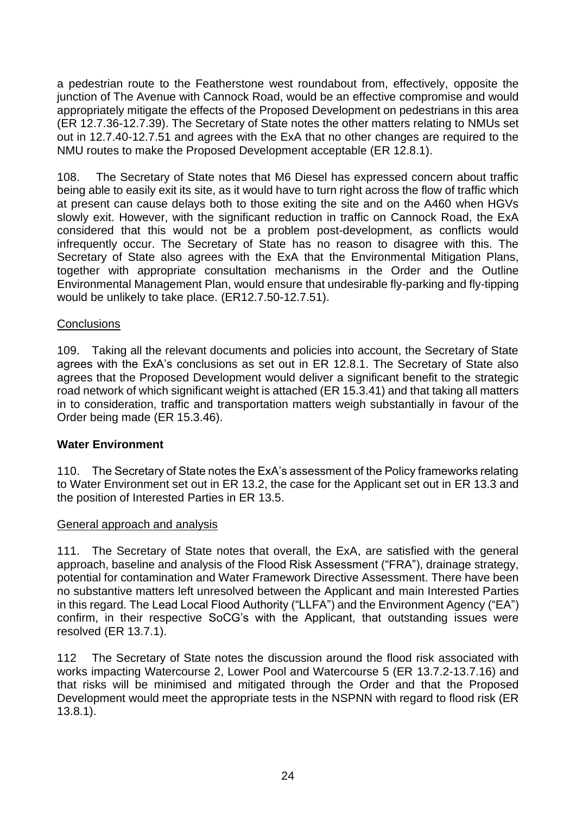a pedestrian route to the Featherstone west roundabout from, effectively, opposite the junction of The Avenue with Cannock Road, would be an effective compromise and would appropriately mitigate the effects of the Proposed Development on pedestrians in this area (ER 12.7.36-12.7.39). The Secretary of State notes the other matters relating to NMUs set out in 12.7.40-12.7.51 and agrees with the ExA that no other changes are required to the NMU routes to make the Proposed Development acceptable (ER 12.8.1).

108. The Secretary of State notes that M6 Diesel has expressed concern about traffic being able to easily exit its site, as it would have to turn right across the flow of traffic which at present can cause delays both to those exiting the site and on the A460 when HGVs slowly exit. However, with the significant reduction in traffic on Cannock Road, the ExA considered that this would not be a problem post-development, as conflicts would infrequently occur. The Secretary of State has no reason to disagree with this. The Secretary of State also agrees with the ExA that the Environmental Mitigation Plans, together with appropriate consultation mechanisms in the Order and the Outline Environmental Management Plan, would ensure that undesirable fly-parking and fly-tipping would be unlikely to take place. (ER12.7.50-12.7.51).

### **Conclusions**

109. Taking all the relevant documents and policies into account, the Secretary of State agrees with the ExA's conclusions as set out in ER 12.8.1. The Secretary of State also agrees that the Proposed Development would deliver a significant benefit to the strategic road network of which significant weight is attached (ER 15.3.41) and that taking all matters in to consideration, traffic and transportation matters weigh substantially in favour of the Order being made (ER 15.3.46).

## **Water Environment**

110. The Secretary of State notes the ExA's assessment of the Policy frameworks relating to Water Environment set out in ER 13.2, the case for the Applicant set out in ER 13.3 and the position of Interested Parties in ER 13.5.

#### General approach and analysis

111. The Secretary of State notes that overall, the ExA, are satisfied with the general approach, baseline and analysis of the Flood Risk Assessment ("FRA"), drainage strategy, potential for contamination and Water Framework Directive Assessment. There have been no substantive matters left unresolved between the Applicant and main Interested Parties in this regard. The Lead Local Flood Authority ("LLFA") and the Environment Agency ("EA") confirm, in their respective SoCG's with the Applicant, that outstanding issues were resolved (ER 13.7.1).

112 The Secretary of State notes the discussion around the flood risk associated with works impacting Watercourse 2, Lower Pool and Watercourse 5 (ER 13.7.2-13.7.16) and that risks will be minimised and mitigated through the Order and that the Proposed Development would meet the appropriate tests in the NSPNN with regard to flood risk (ER 13.8.1).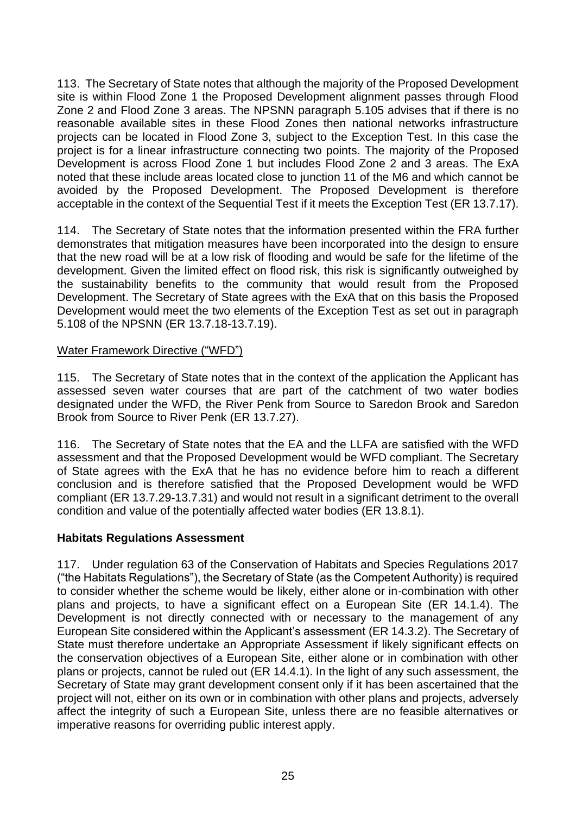113. The Secretary of State notes that although the majority of the Proposed Development site is within Flood Zone 1 the Proposed Development alignment passes through Flood Zone 2 and Flood Zone 3 areas. The NPSNN paragraph 5.105 advises that if there is no reasonable available sites in these Flood Zones then national networks infrastructure projects can be located in Flood Zone 3, subject to the Exception Test. In this case the project is for a linear infrastructure connecting two points. The majority of the Proposed Development is across Flood Zone 1 but includes Flood Zone 2 and 3 areas. The ExA noted that these include areas located close to junction 11 of the M6 and which cannot be avoided by the Proposed Development. The Proposed Development is therefore acceptable in the context of the Sequential Test if it meets the Exception Test (ER 13.7.17).

114. The Secretary of State notes that the information presented within the FRA further demonstrates that mitigation measures have been incorporated into the design to ensure that the new road will be at a low risk of flooding and would be safe for the lifetime of the development. Given the limited effect on flood risk, this risk is significantly outweighed by the sustainability benefits to the community that would result from the Proposed Development. The Secretary of State agrees with the ExA that on this basis the Proposed Development would meet the two elements of the Exception Test as set out in paragraph 5.108 of the NPSNN (ER 13.7.18-13.7.19).

#### Water Framework Directive ("WFD")

115. The Secretary of State notes that in the context of the application the Applicant has assessed seven water courses that are part of the catchment of two water bodies designated under the WFD, the River Penk from Source to Saredon Brook and Saredon Brook from Source to River Penk (ER 13.7.27).

116. The Secretary of State notes that the EA and the LLFA are satisfied with the WFD assessment and that the Proposed Development would be WFD compliant. The Secretary of State agrees with the ExA that he has no evidence before him to reach a different conclusion and is therefore satisfied that the Proposed Development would be WFD compliant (ER 13.7.29-13.7.31) and would not result in a significant detriment to the overall condition and value of the potentially affected water bodies (ER 13.8.1).

#### **Habitats Regulations Assessment**

117. Under regulation 63 of the Conservation of Habitats and Species Regulations 2017 ("the Habitats Regulations"), the Secretary of State (as the Competent Authority) is required to consider whether the scheme would be likely, either alone or in-combination with other plans and projects, to have a significant effect on a European Site (ER 14.1.4). The Development is not directly connected with or necessary to the management of any European Site considered within the Applicant's assessment (ER 14.3.2). The Secretary of State must therefore undertake an Appropriate Assessment if likely significant effects on the conservation objectives of a European Site, either alone or in combination with other plans or projects, cannot be ruled out (ER 14.4.1). In the light of any such assessment, the Secretary of State may grant development consent only if it has been ascertained that the project will not, either on its own or in combination with other plans and projects, adversely affect the integrity of such a European Site, unless there are no feasible alternatives or imperative reasons for overriding public interest apply.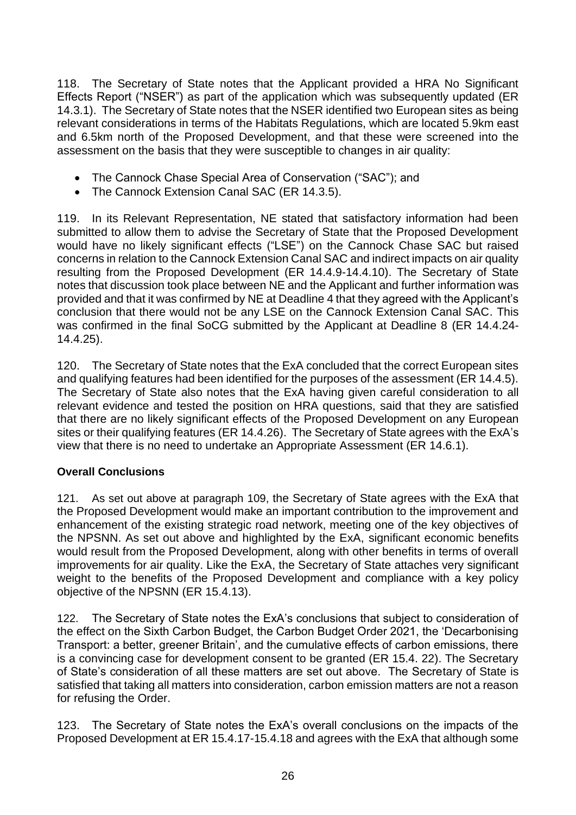118. The Secretary of State notes that the Applicant provided a HRA No Significant Effects Report ("NSER") as part of the application which was subsequently updated (ER 14.3.1). The Secretary of State notes that the NSER identified two European sites as being relevant considerations in terms of the Habitats Regulations, which are located 5.9km east and 6.5km north of the Proposed Development, and that these were screened into the assessment on the basis that they were susceptible to changes in air quality:

- The Cannock Chase Special Area of Conservation ("SAC"); and
- The Cannock Extension Canal SAC (ER 14.3.5).

119. In its Relevant Representation, NE stated that satisfactory information had been submitted to allow them to advise the Secretary of State that the Proposed Development would have no likely significant effects ("LSE") on the Cannock Chase SAC but raised concerns in relation to the Cannock Extension Canal SAC and indirect impacts on air quality resulting from the Proposed Development (ER 14.4.9-14.4.10). The Secretary of State notes that discussion took place between NE and the Applicant and further information was provided and that it was confirmed by NE at Deadline 4 that they agreed with the Applicant's conclusion that there would not be any LSE on the Cannock Extension Canal SAC. This was confirmed in the final SoCG submitted by the Applicant at Deadline 8 (ER 14.4.24- 14.4.25).

120. The Secretary of State notes that the ExA concluded that the correct European sites and qualifying features had been identified for the purposes of the assessment (ER 14.4.5). The Secretary of State also notes that the ExA having given careful consideration to all relevant evidence and tested the position on HRA questions, said that they are satisfied that there are no likely significant effects of the Proposed Development on any European sites or their qualifying features (ER 14.4.26). The Secretary of State agrees with the ExA's view that there is no need to undertake an Appropriate Assessment (ER 14.6.1).

## **Overall Conclusions**

121. As set out above at paragraph 109, the Secretary of State agrees with the ExA that the Proposed Development would make an important contribution to the improvement and enhancement of the existing strategic road network, meeting one of the key objectives of the NPSNN. As set out above and highlighted by the ExA, significant economic benefits would result from the Proposed Development, along with other benefits in terms of overall improvements for air quality. Like the ExA, the Secretary of State attaches very significant weight to the benefits of the Proposed Development and compliance with a key policy objective of the NPSNN (ER 15.4.13).

122. The Secretary of State notes the ExA's conclusions that subject to consideration of the effect on the Sixth Carbon Budget, the Carbon Budget Order 2021, the 'Decarbonising Transport: a better, greener Britain', and the cumulative effects of carbon emissions, there is a convincing case for development consent to be granted (ER 15.4. 22). The Secretary of State's consideration of all these matters are set out above. The Secretary of State is satisfied that taking all matters into consideration, carbon emission matters are not a reason for refusing the Order.

123. The Secretary of State notes the ExA's overall conclusions on the impacts of the Proposed Development at ER 15.4.17-15.4.18 and agrees with the ExA that although some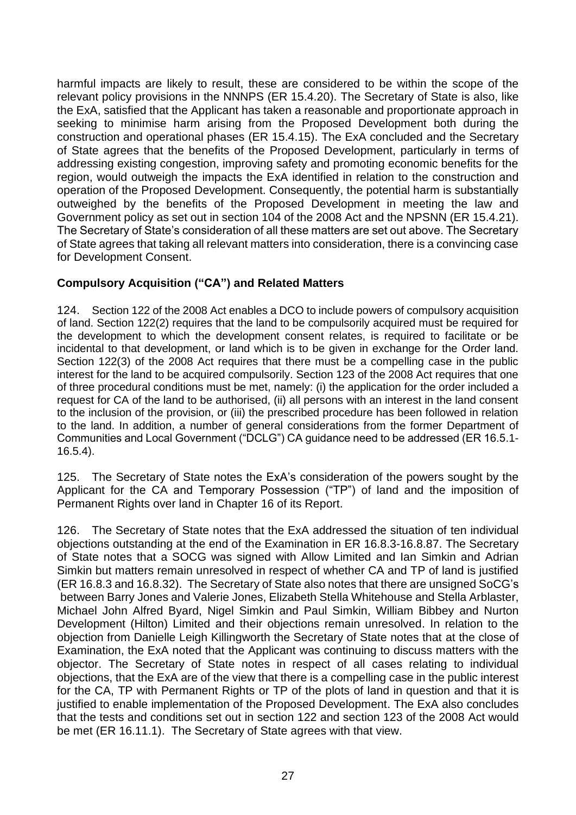harmful impacts are likely to result, these are considered to be within the scope of the relevant policy provisions in the NNNPS (ER 15.4.20). The Secretary of State is also, like the ExA, satisfied that the Applicant has taken a reasonable and proportionate approach in seeking to minimise harm arising from the Proposed Development both during the construction and operational phases (ER 15.4.15). The ExA concluded and the Secretary of State agrees that the benefits of the Proposed Development, particularly in terms of addressing existing congestion, improving safety and promoting economic benefits for the region, would outweigh the impacts the ExA identified in relation to the construction and operation of the Proposed Development. Consequently, the potential harm is substantially outweighed by the benefits of the Proposed Development in meeting the law and Government policy as set out in section 104 of the 2008 Act and the NPSNN (ER 15.4.21). The Secretary of State's consideration of all these matters are set out above. The Secretary of State agrees that taking all relevant matters into consideration, there is a convincing case for Development Consent.

## **Compulsory Acquisition ("CA") and Related Matters**

124. Section 122 of the 2008 Act enables a DCO to include powers of compulsory acquisition of land. Section 122(2) requires that the land to be compulsorily acquired must be required for the development to which the development consent relates, is required to facilitate or be incidental to that development, or land which is to be given in exchange for the Order land. Section 122(3) of the 2008 Act requires that there must be a compelling case in the public interest for the land to be acquired compulsorily. Section 123 of the 2008 Act requires that one of three procedural conditions must be met, namely: (i) the application for the order included a request for CA of the land to be authorised, (ii) all persons with an interest in the land consent to the inclusion of the provision, or (iii) the prescribed procedure has been followed in relation to the land. In addition, a number of general considerations from the former Department of Communities and Local Government ("DCLG") CA guidance need to be addressed (ER 16.5.1- 16.5.4).

125. The Secretary of State notes the ExA's consideration of the powers sought by the Applicant for the CA and Temporary Possession ("TP") of land and the imposition of Permanent Rights over land in Chapter 16 of its Report.

126. The Secretary of State notes that the ExA addressed the situation of ten individual objections outstanding at the end of the Examination in ER 16.8.3-16.8.87. The Secretary of State notes that a SOCG was signed with Allow Limited and Ian Simkin and Adrian Simkin but matters remain unresolved in respect of whether CA and TP of land is justified (ER 16.8.3 and 16.8.32). The Secretary of State also notes that there are unsigned SoCG's between Barry Jones and Valerie Jones, Elizabeth Stella Whitehouse and Stella Arblaster, Michael John Alfred Byard, Nigel Simkin and Paul Simkin, William Bibbey and Nurton Development (Hilton) Limited and their objections remain unresolved. In relation to the objection from Danielle Leigh Killingworth the Secretary of State notes that at the close of Examination, the ExA noted that the Applicant was continuing to discuss matters with the objector. The Secretary of State notes in respect of all cases relating to individual objections, that the ExA are of the view that there is a compelling case in the public interest for the CA, TP with Permanent Rights or TP of the plots of land in question and that it is justified to enable implementation of the Proposed Development. The ExA also concludes that the tests and conditions set out in section 122 and section 123 of the 2008 Act would be met (ER 16.11.1). The Secretary of State agrees with that view.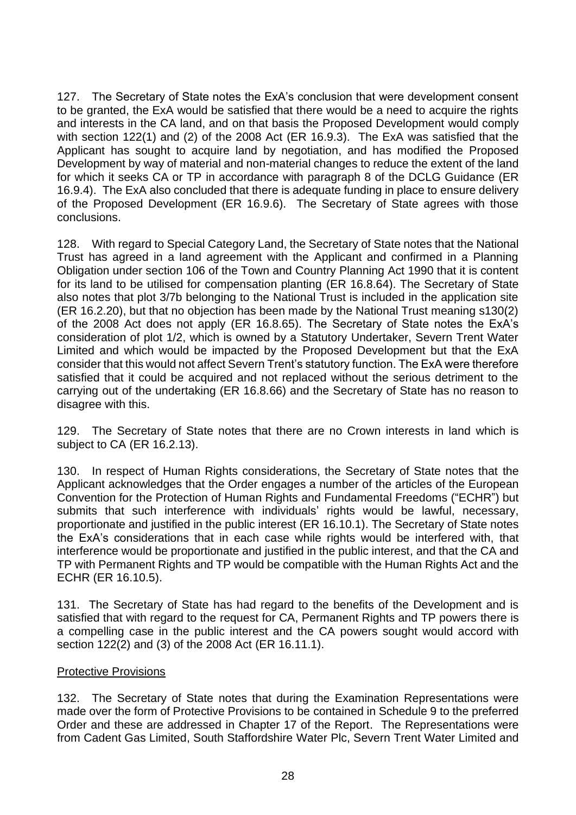127. The Secretary of State notes the ExA's conclusion that were development consent to be granted, the ExA would be satisfied that there would be a need to acquire the rights and interests in the CA land, and on that basis the Proposed Development would comply with section 122(1) and (2) of the 2008 Act (ER 16.9.3). The ExA was satisfied that the Applicant has sought to acquire land by negotiation, and has modified the Proposed Development by way of material and non-material changes to reduce the extent of the land for which it seeks CA or TP in accordance with paragraph 8 of the DCLG Guidance (ER 16.9.4). The ExA also concluded that there is adequate funding in place to ensure delivery of the Proposed Development (ER 16.9.6). The Secretary of State agrees with those conclusions.

128. With regard to Special Category Land, the Secretary of State notes that the National Trust has agreed in a land agreement with the Applicant and confirmed in a Planning Obligation under section 106 of the Town and Country Planning Act 1990 that it is content for its land to be utilised for compensation planting (ER 16.8.64). The Secretary of State also notes that plot 3/7b belonging to the National Trust is included in the application site (ER 16.2.20), but that no objection has been made by the National Trust meaning s130(2) of the 2008 Act does not apply (ER 16.8.65). The Secretary of State notes the ExA's consideration of plot 1/2, which is owned by a Statutory Undertaker, Severn Trent Water Limited and which would be impacted by the Proposed Development but that the ExA consider that this would not affect Severn Trent's statutory function. The ExA were therefore satisfied that it could be acquired and not replaced without the serious detriment to the carrying out of the undertaking (ER 16.8.66) and the Secretary of State has no reason to disagree with this.

129. The Secretary of State notes that there are no Crown interests in land which is subject to CA (ER 16.2.13).

130. In respect of Human Rights considerations, the Secretary of State notes that the Applicant acknowledges that the Order engages a number of the articles of the European Convention for the Protection of Human Rights and Fundamental Freedoms ("ECHR") but submits that such interference with individuals' rights would be lawful, necessary, proportionate and justified in the public interest (ER 16.10.1). The Secretary of State notes the ExA's considerations that in each case while rights would be interfered with, that interference would be proportionate and justified in the public interest, and that the CA and TP with Permanent Rights and TP would be compatible with the Human Rights Act and the ECHR (ER 16.10.5).

131. The Secretary of State has had regard to the benefits of the Development and is satisfied that with regard to the request for CA, Permanent Rights and TP powers there is a compelling case in the public interest and the CA powers sought would accord with section 122(2) and (3) of the 2008 Act (ER 16.11.1).

#### Protective Provisions

132. The Secretary of State notes that during the Examination Representations were made over the form of Protective Provisions to be contained in Schedule 9 to the preferred Order and these are addressed in Chapter 17 of the Report. The Representations were from Cadent Gas Limited, South Staffordshire Water Plc, Severn Trent Water Limited and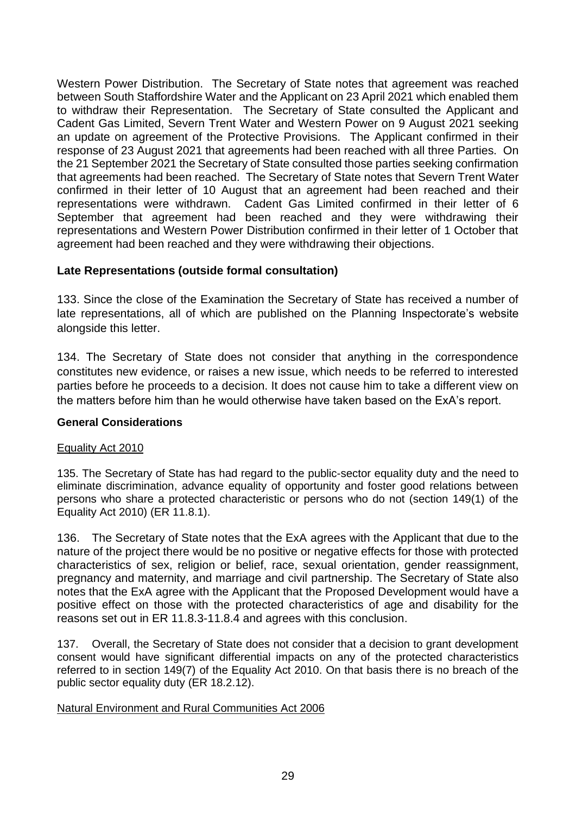Western Power Distribution. The Secretary of State notes that agreement was reached between South Staffordshire Water and the Applicant on 23 April 2021 which enabled them to withdraw their Representation. The Secretary of State consulted the Applicant and Cadent Gas Limited, Severn Trent Water and Western Power on 9 August 2021 seeking an update on agreement of the Protective Provisions. The Applicant confirmed in their response of 23 August 2021 that agreements had been reached with all three Parties. On the 21 September 2021 the Secretary of State consulted those parties seeking confirmation that agreements had been reached. The Secretary of State notes that Severn Trent Water confirmed in their letter of 10 August that an agreement had been reached and their representations were withdrawn. Cadent Gas Limited confirmed in their letter of 6 September that agreement had been reached and they were withdrawing their representations and Western Power Distribution confirmed in their letter of 1 October that agreement had been reached and they were withdrawing their objections.

### **Late Representations (outside formal consultation)**

133. Since the close of the Examination the Secretary of State has received a number of late representations, all of which are published on the Planning Inspectorate's website alongside this letter.

134. The Secretary of State does not consider that anything in the correspondence constitutes new evidence, or raises a new issue, which needs to be referred to interested parties before he proceeds to a decision. It does not cause him to take a different view on the matters before him than he would otherwise have taken based on the ExA's report.

#### **General Considerations**

#### Equality Act 2010

135. The Secretary of State has had regard to the public-sector equality duty and the need to eliminate discrimination, advance equality of opportunity and foster good relations between persons who share a protected characteristic or persons who do not (section 149(1) of the Equality Act 2010) (ER 11.8.1).

136. The Secretary of State notes that the ExA agrees with the Applicant that due to the nature of the project there would be no positive or negative effects for those with protected characteristics of sex, religion or belief, race, sexual orientation, gender reassignment, pregnancy and maternity, and marriage and civil partnership. The Secretary of State also notes that the ExA agree with the Applicant that the Proposed Development would have a positive effect on those with the protected characteristics of age and disability for the reasons set out in ER 11.8.3-11.8.4 and agrees with this conclusion.

137. Overall, the Secretary of State does not consider that a decision to grant development consent would have significant differential impacts on any of the protected characteristics referred to in section 149(7) of the Equality Act 2010. On that basis there is no breach of the public sector equality duty (ER 18.2.12).

#### Natural Environment and Rural Communities Act 2006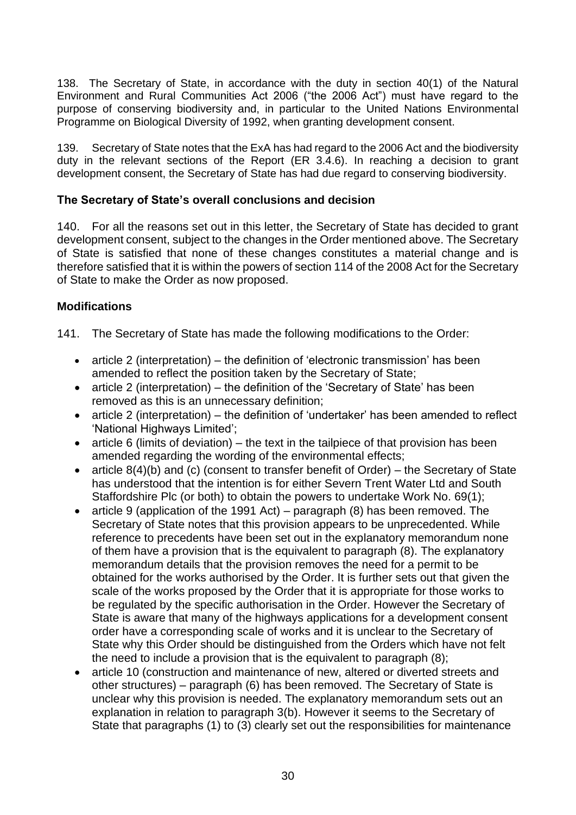138. The Secretary of State, in accordance with the duty in section 40(1) of the Natural Environment and Rural Communities Act 2006 ("the 2006 Act") must have regard to the purpose of conserving biodiversity and, in particular to the United Nations Environmental Programme on Biological Diversity of 1992, when granting development consent.

139. Secretary of State notes that the ExA has had regard to the 2006 Act and the biodiversity duty in the relevant sections of the Report (ER 3.4.6). In reaching a decision to grant development consent, the Secretary of State has had due regard to conserving biodiversity.

### **The Secretary of State's overall conclusions and decision**

140. For all the reasons set out in this letter, the Secretary of State has decided to grant development consent, subject to the changes in the Order mentioned above. The Secretary of State is satisfied that none of these changes constitutes a material change and is therefore satisfied that it is within the powers of section 114 of the 2008 Act for the Secretary of State to make the Order as now proposed.

### **Modifications**

141. The Secretary of State has made the following modifications to the Order:

- article 2 (interpretation) the definition of 'electronic transmission' has been amended to reflect the position taken by the Secretary of State;
- article 2 (interpretation) the definition of the 'Secretary of State' has been removed as this is an unnecessary definition;
- article 2 (interpretation) the definition of 'undertaker' has been amended to reflect 'National Highways Limited';
- article 6 (limits of deviation) the text in the tailpiece of that provision has been amended regarding the wording of the environmental effects;
- article  $8(4)(b)$  and (c) (consent to transfer benefit of Order) the Secretary of State has understood that the intention is for either Severn Trent Water Ltd and South Staffordshire Plc (or both) to obtain the powers to undertake Work No. 69(1);
- article 9 (application of the 1991 Act) paragraph (8) has been removed. The Secretary of State notes that this provision appears to be unprecedented. While reference to precedents have been set out in the explanatory memorandum none of them have a provision that is the equivalent to paragraph (8). The explanatory memorandum details that the provision removes the need for a permit to be obtained for the works authorised by the Order. It is further sets out that given the scale of the works proposed by the Order that it is appropriate for those works to be regulated by the specific authorisation in the Order. However the Secretary of State is aware that many of the highways applications for a development consent order have a corresponding scale of works and it is unclear to the Secretary of State why this Order should be distinguished from the Orders which have not felt the need to include a provision that is the equivalent to paragraph (8);
- article 10 (construction and maintenance of new, altered or diverted streets and other structures) – paragraph (6) has been removed. The Secretary of State is unclear why this provision is needed. The explanatory memorandum sets out an explanation in relation to paragraph 3(b). However it seems to the Secretary of State that paragraphs (1) to (3) clearly set out the responsibilities for maintenance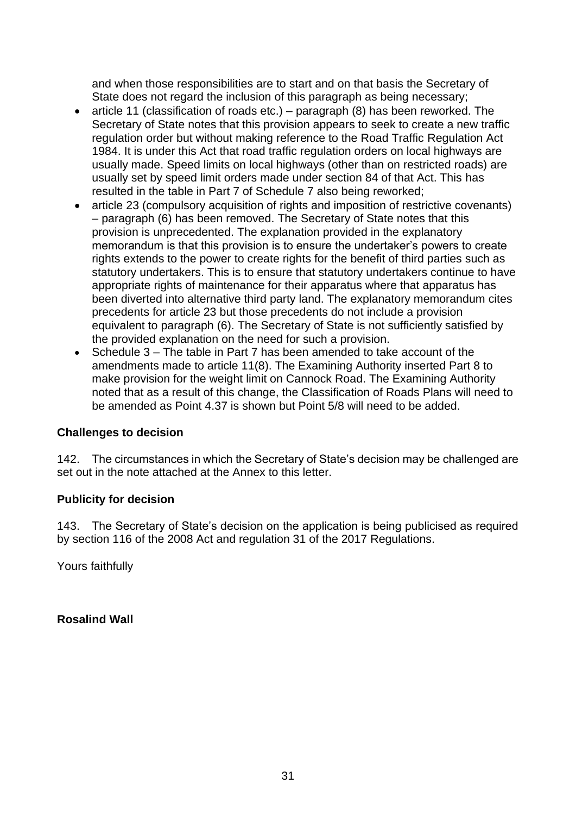and when those responsibilities are to start and on that basis the Secretary of State does not regard the inclusion of this paragraph as being necessary;

- article 11 (classification of roads etc.) paragraph (8) has been reworked. The Secretary of State notes that this provision appears to seek to create a new traffic regulation order but without making reference to the Road Traffic Regulation Act 1984. It is under this Act that road traffic regulation orders on local highways are usually made. Speed limits on local highways (other than on restricted roads) are usually set by speed limit orders made under section 84 of that Act. This has resulted in the table in Part 7 of Schedule 7 also being reworked;
- article 23 (compulsory acquisition of rights and imposition of restrictive covenants) – paragraph (6) has been removed. The Secretary of State notes that this provision is unprecedented. The explanation provided in the explanatory memorandum is that this provision is to ensure the undertaker's powers to create rights extends to the power to create rights for the benefit of third parties such as statutory undertakers. This is to ensure that statutory undertakers continue to have appropriate rights of maintenance for their apparatus where that apparatus has been diverted into alternative third party land. The explanatory memorandum cites precedents for article 23 but those precedents do not include a provision equivalent to paragraph (6). The Secretary of State is not sufficiently satisfied by the provided explanation on the need for such a provision.
- Schedule 3 The table in Part 7 has been amended to take account of the amendments made to article 11(8). The Examining Authority inserted Part 8 to make provision for the weight limit on Cannock Road. The Examining Authority noted that as a result of this change, the Classification of Roads Plans will need to be amended as Point 4.37 is shown but Point 5/8 will need to be added.

#### **Challenges to decision**

142. The circumstances in which the Secretary of State's decision may be challenged are set out in the note attached at the Annex to this letter.

#### **Publicity for decision**

143. The Secretary of State's decision on the application is being publicised as required by section 116 of the 2008 Act and regulation 31 of the 2017 Regulations.

Yours faithfully

**Rosalind Wall**